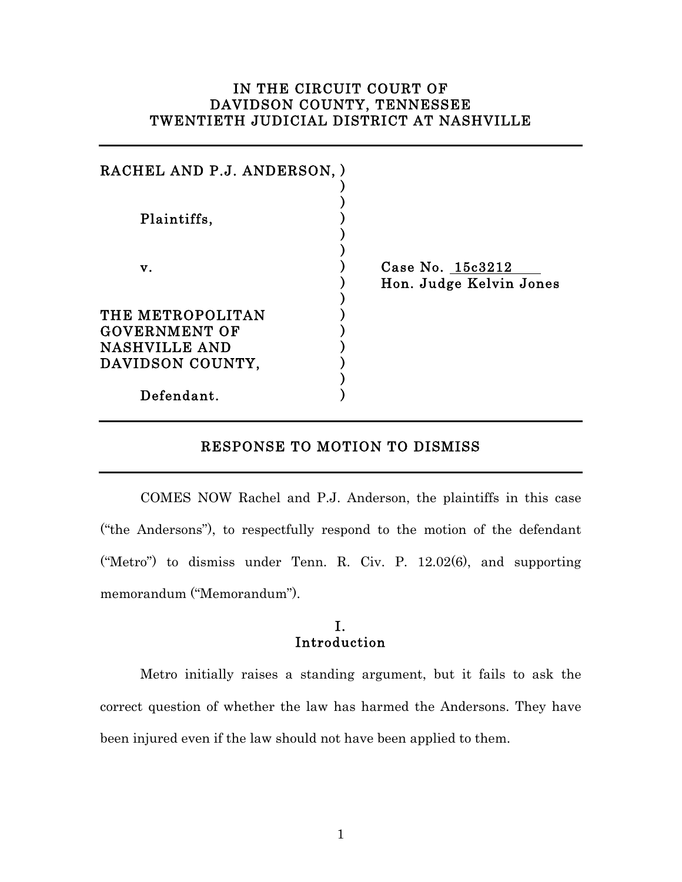# IN THE CIRCUIT COURT OF DAVIDSON COUNTY, TENNESSEE TWENTIETH JUDICIAL DISTRICT AT NASHVILLE

| RACHEL AND P.J. ANDERSON, )                                                          |                                             |
|--------------------------------------------------------------------------------------|---------------------------------------------|
| Plaintiffs,                                                                          |                                             |
| v.                                                                                   | Case No. 15c3212<br>Hon. Judge Kelvin Jones |
| THE METROPOLITAN<br><b>GOVERNMENT OF</b><br><b>NASHVILLE AND</b><br>DAVIDSON COUNTY, |                                             |
| Defendant.                                                                           |                                             |

## RESPONSE TO MOTION TO DISMISS

COMES NOW Rachel and P.J. Anderson, the plaintiffs in this case ("the Andersons"), to respectfully respond to the motion of the defendant ("Metro") to dismiss under Tenn. R. Civ. P. 12.02(6), and supporting memorandum ("Memorandum").

## I. Introduction

Metro initially raises a standing argument, but it fails to ask the correct question of whether the law has harmed the Andersons. They have been injured even if the law should not have been applied to them.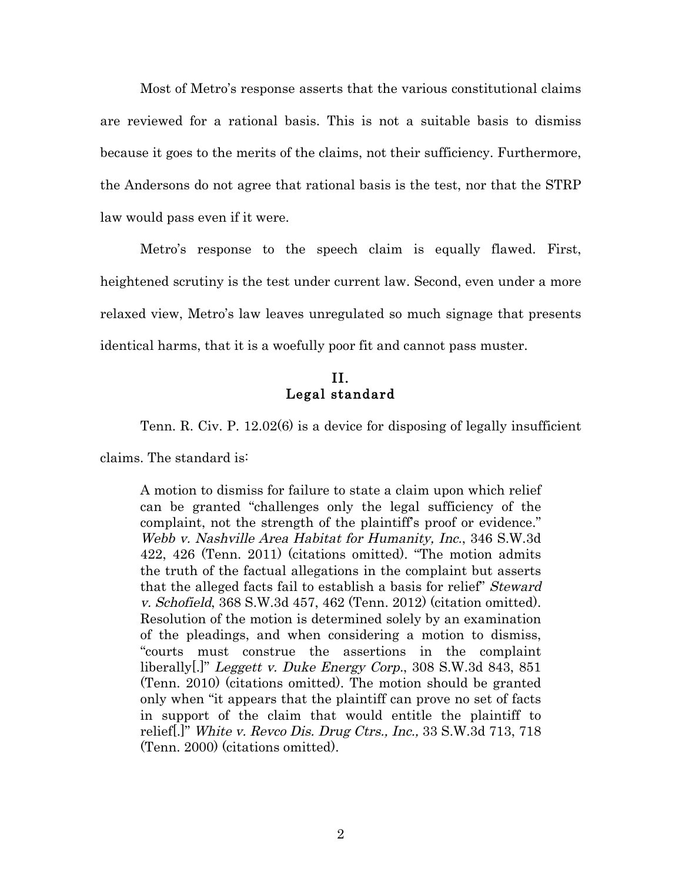Most of Metro's response asserts that the various constitutional claims are reviewed for a rational basis. This is not a suitable basis to dismiss because it goes to the merits of the claims, not their sufficiency. Furthermore, the Andersons do not agree that rational basis is the test, nor that the STRP law would pass even if it were.

Metro's response to the speech claim is equally flawed. First, heightened scrutiny is the test under current law. Second, even under a more relaxed view, Metro's law leaves unregulated so much signage that presents identical harms, that it is a woefully poor fit and cannot pass muster.

## II. Legal standard

Tenn. R. Civ. P. 12.02(6) is a device for disposing of legally insufficient

claims. The standard is:

A motion to dismiss for failure to state a claim upon which relief can be granted "challenges only the legal sufficiency of the complaint, not the strength of the plaintiff's proof or evidence." Webb v. Nashville Area Habitat for Humanity, Inc., 346 S.W.3d 422, 426 (Tenn. 2011) (citations omitted). "The motion admits the truth of the factual allegations in the complaint but asserts that the alleged facts fail to establish a basis for relief" Steward v. Schofield, 368 S.W.3d 457, 462 (Tenn. 2012) (citation omitted). Resolution of the motion is determined solely by an examination of the pleadings, and when considering a motion to dismiss, "courts must construe the assertions in the complaint liberally[.]" Leggett v. Duke Energy Corp., 308 S.W.3d 843, 851 (Tenn. 2010) (citations omitted). The motion should be granted only when "it appears that the plaintiff can prove no set of facts in support of the claim that would entitle the plaintiff to relief<sup>[]</sup>" White v. Revco Dis. Drug Ctrs., Inc., 33 S.W.3d 713, 718 (Tenn. 2000) (citations omitted).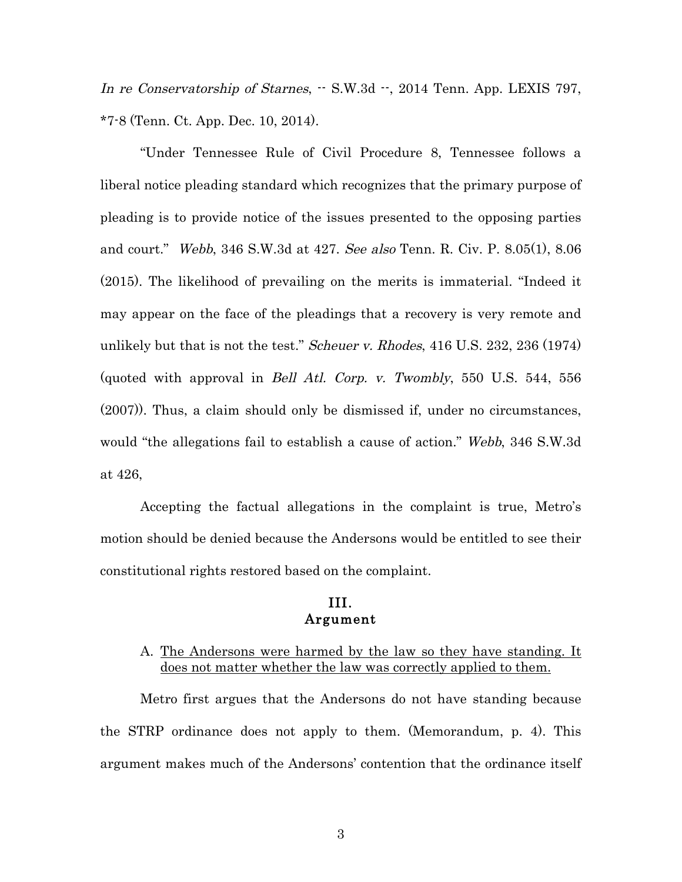In re Conservatorship of Starnes,  $-$  S.W.3d  $-$ , 2014 Tenn. App. LEXIS 797, \*7-8 (Tenn. Ct. App. Dec. 10, 2014).

"Under Tennessee Rule of Civil Procedure 8, Tennessee follows a liberal notice pleading standard which recognizes that the primary purpose of pleading is to provide notice of the issues presented to the opposing parties and court." Webb, 346 S.W.3d at 427. See also Tenn. R. Civ. P. 8.05(1), 8.06 (2015). The likelihood of prevailing on the merits is immaterial. "Indeed it may appear on the face of the pleadings that a recovery is very remote and unlikely but that is not the test." *Scheuer v. Rhodes*, 416 U.S. 232, 236 (1974) (quoted with approval in Bell Atl. Corp. v. Twombly, 550 U.S. 544, 556 (2007)). Thus, a claim should only be dismissed if, under no circumstances, would "the allegations fail to establish a cause of action." Webb, 346 S.W.3d at 426,

Accepting the factual allegations in the complaint is true, Metro's motion should be denied because the Andersons would be entitled to see their constitutional rights restored based on the complaint.

### III. Argument

### A. The Andersons were harmed by the law so they have standing. It does not matter whether the law was correctly applied to them.

Metro first argues that the Andersons do not have standing because the STRP ordinance does not apply to them. (Memorandum, p. 4). This argument makes much of the Andersons' contention that the ordinance itself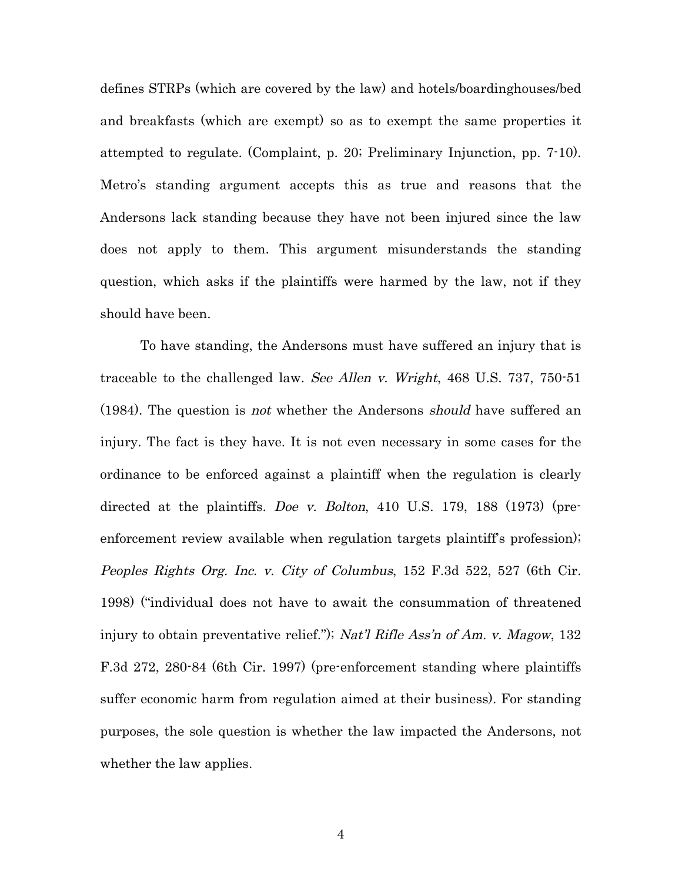defines STRPs (which are covered by the law) and hotels/boardinghouses/bed and breakfasts (which are exempt) so as to exempt the same properties it attempted to regulate. (Complaint, p. 20; Preliminary Injunction, pp. 7-10). Metro's standing argument accepts this as true and reasons that the Andersons lack standing because they have not been injured since the law does not apply to them. This argument misunderstands the standing question, which asks if the plaintiffs were harmed by the law, not if they should have been.

To have standing, the Andersons must have suffered an injury that is traceable to the challenged law. See Allen v. Wright, 468 U.S. 737, 750-51 (1984). The question is not whether the Andersons should have suffered an injury. The fact is they have. It is not even necessary in some cases for the ordinance to be enforced against a plaintiff when the regulation is clearly directed at the plaintiffs. Doe v. Bolton, 410 U.S. 179, 188 (1973) (preenforcement review available when regulation targets plaintiff's profession); Peoples Rights Org. Inc. v. City of Columbus, 152 F.3d 522, 527 (6th Cir. 1998) ("individual does not have to await the consummation of threatened injury to obtain preventative relief."); Nat'l Rifle Ass'n of Am. v. Magow, 132 F.3d 272, 280-84 (6th Cir. 1997) (pre-enforcement standing where plaintiffs suffer economic harm from regulation aimed at their business). For standing purposes, the sole question is whether the law impacted the Andersons, not whether the law applies.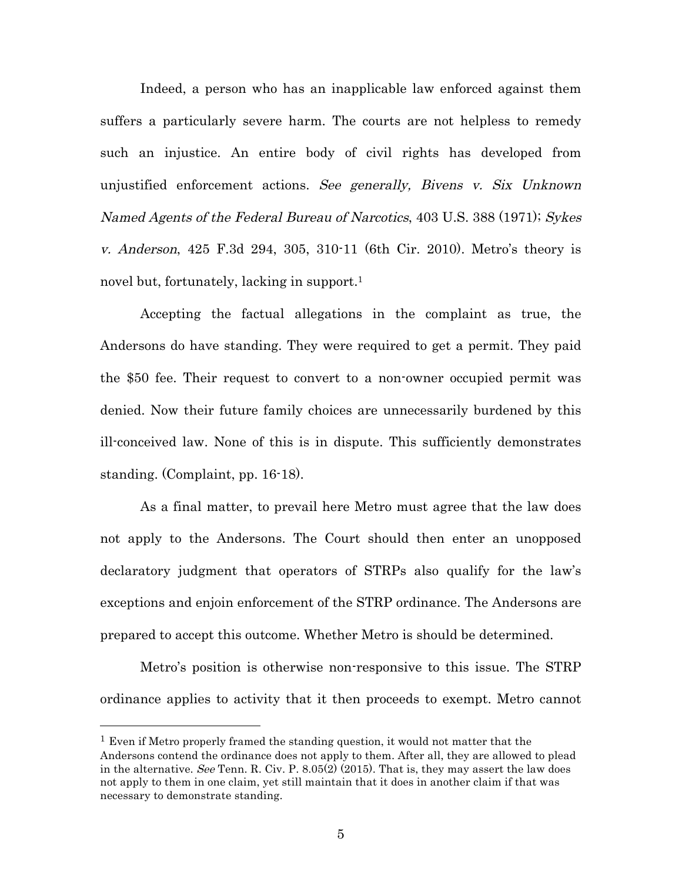Indeed, a person who has an inapplicable law enforced against them suffers a particularly severe harm. The courts are not helpless to remedy such an injustice. An entire body of civil rights has developed from unjustified enforcement actions. See generally, Bivens v. Six Unknown Named Agents of the Federal Bureau of Narcotics, 403 U.S. 388 (1971); Sykes v. Anderson, 425 F.3d 294, 305, 310-11 (6th Cir. 2010). Metro's theory is novel but, fortunately, lacking in support.<sup>1</sup>

Accepting the factual allegations in the complaint as true, the Andersons do have standing. They were required to get a permit. They paid the \$50 fee. Their request to convert to a non-owner occupied permit was denied. Now their future family choices are unnecessarily burdened by this ill-conceived law. None of this is in dispute. This sufficiently demonstrates standing. (Complaint, pp. 16-18).

As a final matter, to prevail here Metro must agree that the law does not apply to the Andersons. The Court should then enter an unopposed declaratory judgment that operators of STRPs also qualify for the law's exceptions and enjoin enforcement of the STRP ordinance. The Andersons are prepared to accept this outcome. Whether Metro is should be determined.

Metro's position is otherwise non-responsive to this issue. The STRP ordinance applies to activity that it then proceeds to exempt. Metro cannot

<sup>&</sup>lt;sup>1</sup> Even if Metro properly framed the standing question, it would not matter that the Andersons contend the ordinance does not apply to them. After all, they are allowed to plead in the alternative. See Tenn. R. Civ. P.  $8.05(2)$  (2015). That is, they may assert the law does not apply to them in one claim, yet still maintain that it does in another claim if that was necessary to demonstrate standing.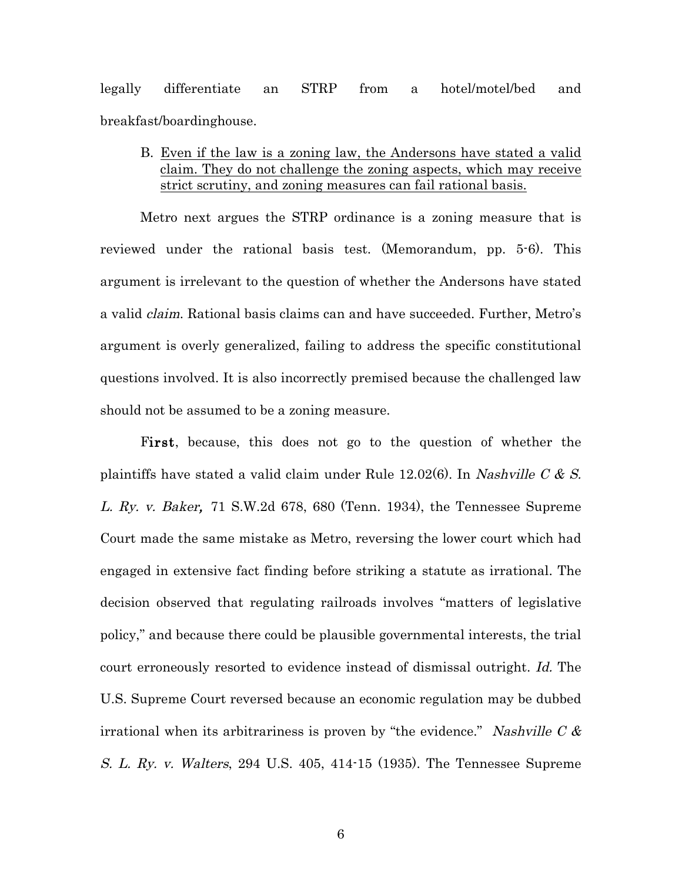legally differentiate an STRP from a hotel/motel/bed and breakfast/boardinghouse.

B. Even if the law is a zoning law, the Andersons have stated a valid claim. They do not challenge the zoning aspects, which may receive strict scrutiny, and zoning measures can fail rational basis.

Metro next argues the STRP ordinance is a zoning measure that is reviewed under the rational basis test. (Memorandum, pp. 5-6). This argument is irrelevant to the question of whether the Andersons have stated a valid claim. Rational basis claims can and have succeeded. Further, Metro's argument is overly generalized, failing to address the specific constitutional questions involved. It is also incorrectly premised because the challenged law should not be assumed to be a zoning measure.

First, because, this does not go to the question of whether the plaintiffs have stated a valid claim under Rule  $12.02(6)$ . In Nashville C & S. L. Ry. v. Baker, 71 S.W.2d 678, 680 (Tenn. 1934), the Tennessee Supreme Court made the same mistake as Metro, reversing the lower court which had engaged in extensive fact finding before striking a statute as irrational. The decision observed that regulating railroads involves "matters of legislative policy," and because there could be plausible governmental interests, the trial court erroneously resorted to evidence instead of dismissal outright. Id. The U.S. Supreme Court reversed because an economic regulation may be dubbed irrational when its arbitrariness is proven by "the evidence." Nashville C  $\&$ S. L. Ry. v. Walters, 294 U.S. 405, 414-15 (1935). The Tennessee Supreme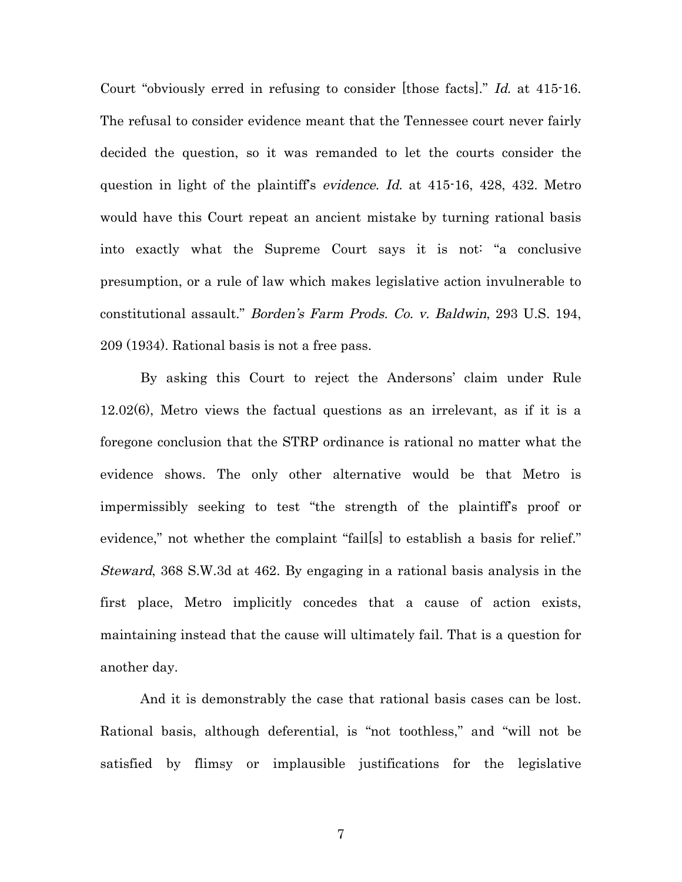Court "obviously erred in refusing to consider [those facts]." Id. at 415-16. The refusal to consider evidence meant that the Tennessee court never fairly decided the question, so it was remanded to let the courts consider the question in light of the plaintiff's *evidence. Id.* at 415-16, 428, 432. Metro would have this Court repeat an ancient mistake by turning rational basis into exactly what the Supreme Court says it is not: "a conclusive presumption, or a rule of law which makes legislative action invulnerable to constitutional assault." Borden's Farm Prods. Co. v. Baldwin, 293 U.S. 194, 209 (1934). Rational basis is not a free pass.

By asking this Court to reject the Andersons' claim under Rule 12.02(6), Metro views the factual questions as an irrelevant, as if it is a foregone conclusion that the STRP ordinance is rational no matter what the evidence shows. The only other alternative would be that Metro is impermissibly seeking to test "the strength of the plaintiff's proof or evidence," not whether the complaint "fails to establish a basis for relief." Steward, 368 S.W.3d at 462. By engaging in a rational basis analysis in the first place, Metro implicitly concedes that a cause of action exists, maintaining instead that the cause will ultimately fail. That is a question for another day.

And it is demonstrably the case that rational basis cases can be lost. Rational basis, although deferential, is "not toothless," and "will not be satisfied by flimsy or implausible justifications for the legislative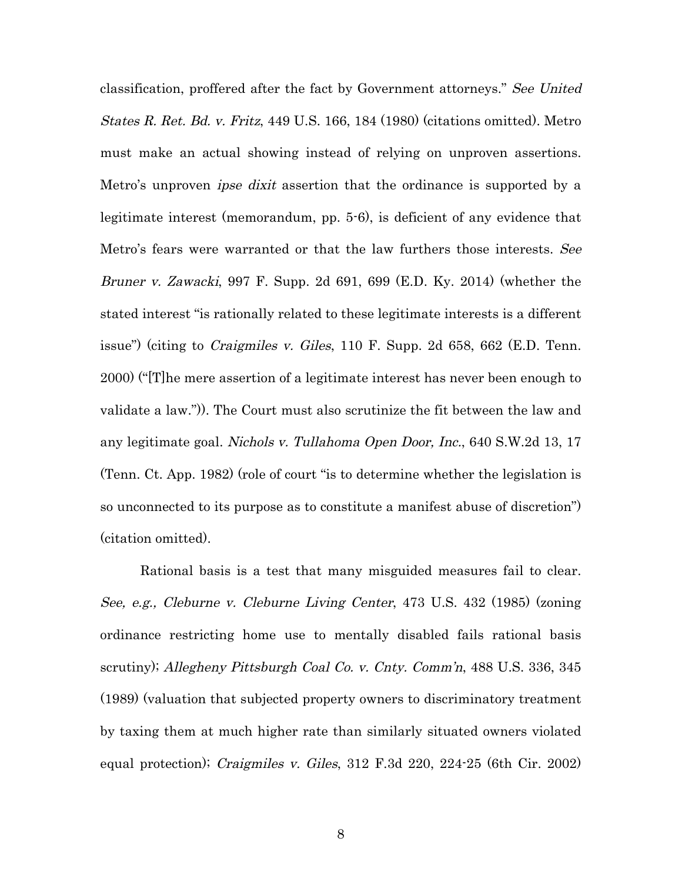classification, proffered after the fact by Government attorneys." See United States R. Ret. Bd. v. Fritz, 449 U.S. 166, 184 (1980) (citations omitted). Metro must make an actual showing instead of relying on unproven assertions. Metro's unproven *ipse dixit* assertion that the ordinance is supported by a legitimate interest (memorandum, pp. 5-6), is deficient of any evidence that Metro's fears were warranted or that the law furthers those interests. See Bruner v. Zawacki, 997 F. Supp. 2d 691, 699 (E.D. Ky. 2014) (whether the stated interest "is rationally related to these legitimate interests is a different issue") (citing to *Craigmiles v. Giles*, 110 F. Supp. 2d 658, 662 (E.D. Tenn. 2000) ("[T]he mere assertion of a legitimate interest has never been enough to validate a law.")). The Court must also scrutinize the fit between the law and any legitimate goal. Nichols v. Tullahoma Open Door, Inc., 640 S.W.2d 13, 17 (Tenn. Ct. App. 1982) (role of court "is to determine whether the legislation is so unconnected to its purpose as to constitute a manifest abuse of discretion") (citation omitted).

Rational basis is a test that many misguided measures fail to clear. See, e.g., Cleburne v. Cleburne Living Center, 473 U.S. 432 (1985) (zoning ordinance restricting home use to mentally disabled fails rational basis scrutiny); Allegheny Pittsburgh Coal Co. v. Cnty. Comm'n, 488 U.S. 336, 345 (1989) (valuation that subjected property owners to discriminatory treatment by taxing them at much higher rate than similarly situated owners violated equal protection); Craigmiles v. Giles, 312 F.3d 220, 224-25 (6th Cir. 2002)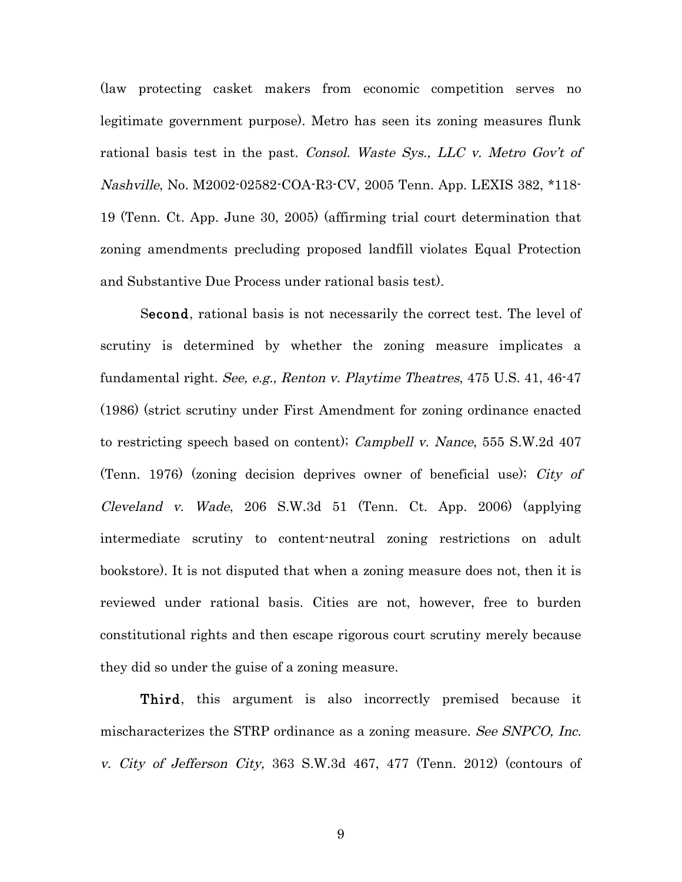(law protecting casket makers from economic competition serves no legitimate government purpose). Metro has seen its zoning measures flunk rational basis test in the past. Consol. Waste Sys., LLC v. Metro Gov't of Nashville, No. M2002-02582-COA-R3-CV, 2005 Tenn. App. LEXIS 382, \*118- 19 (Tenn. Ct. App. June 30, 2005) (affirming trial court determination that zoning amendments precluding proposed landfill violates Equal Protection and Substantive Due Process under rational basis test).

Second, rational basis is not necessarily the correct test. The level of scrutiny is determined by whether the zoning measure implicates a fundamental right. See, e.g., Renton v. Playtime Theatres, 475 U.S. 41, 46-47 (1986) (strict scrutiny under First Amendment for zoning ordinance enacted to restricting speech based on content); Campbell v. Nance, 555 S.W.2d 407 (Tenn. 1976) (zoning decision deprives owner of beneficial use); City of Cleveland v. Wade, 206 S.W.3d 51 (Tenn. Ct. App. 2006) (applying intermediate scrutiny to content-neutral zoning restrictions on adult bookstore). It is not disputed that when a zoning measure does not, then it is reviewed under rational basis. Cities are not, however, free to burden constitutional rights and then escape rigorous court scrutiny merely because they did so under the guise of a zoning measure.

Third, this argument is also incorrectly premised because it mischaracterizes the STRP ordinance as a zoning measure. See SNPCO, Inc. v. City of Jefferson City, 363 S.W.3d 467, 477 (Tenn. 2012) (contours of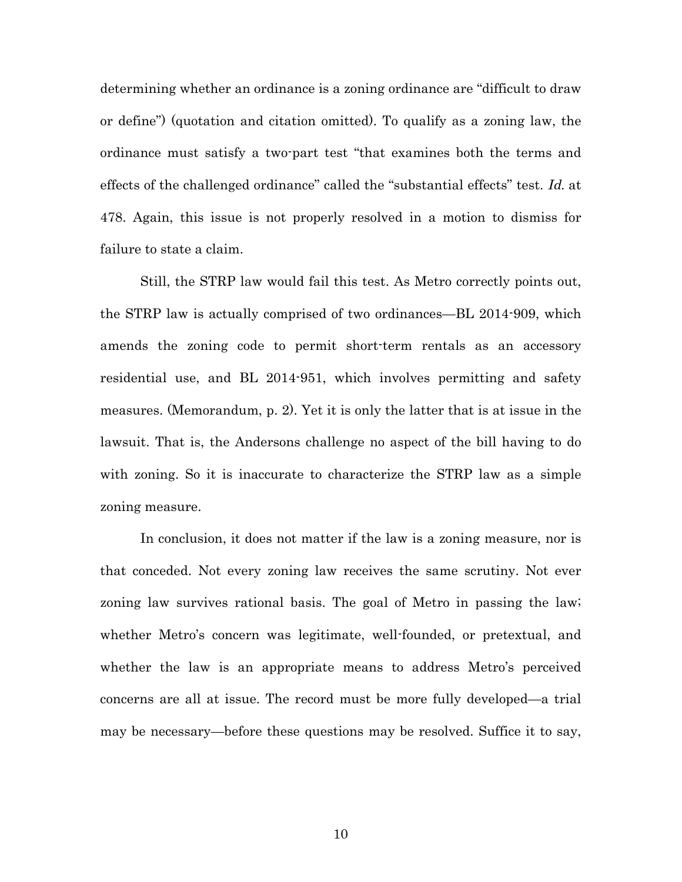determining whether an ordinance is a zoning ordinance are "difficult to draw or define") (quotation and citation omitted). To qualify as a zoning law, the ordinance must satisfy a two-part test "that examines both the terms and effects of the challenged ordinance" called the "substantial effects" test. Id. at 478. Again, this issue is not properly resolved in a motion to dismiss for failure to state a claim.

Still, the STRP law would fail this test. As Metro correctly points out, the STRP law is actually comprised of two ordinances—BL 2014-909, which amends the zoning code to permit short-term rentals as an accessory residential use, and BL 2014-951, which involves permitting and safety measures. (Memorandum, p. 2). Yet it is only the latter that is at issue in the lawsuit. That is, the Andersons challenge no aspect of the bill having to do with zoning. So it is inaccurate to characterize the STRP law as a simple zoning measure.

In conclusion, it does not matter if the law is a zoning measure, nor is that conceded. Not every zoning law receives the same scrutiny. Not ever zoning law survives rational basis. The goal of Metro in passing the law; whether Metro's concern was legitimate, well-founded, or pretextual, and whether the law is an appropriate means to address Metro's perceived concerns are all at issue. The record must be more fully developed—a trial may be necessary—before these questions may be resolved. Suffice it to say,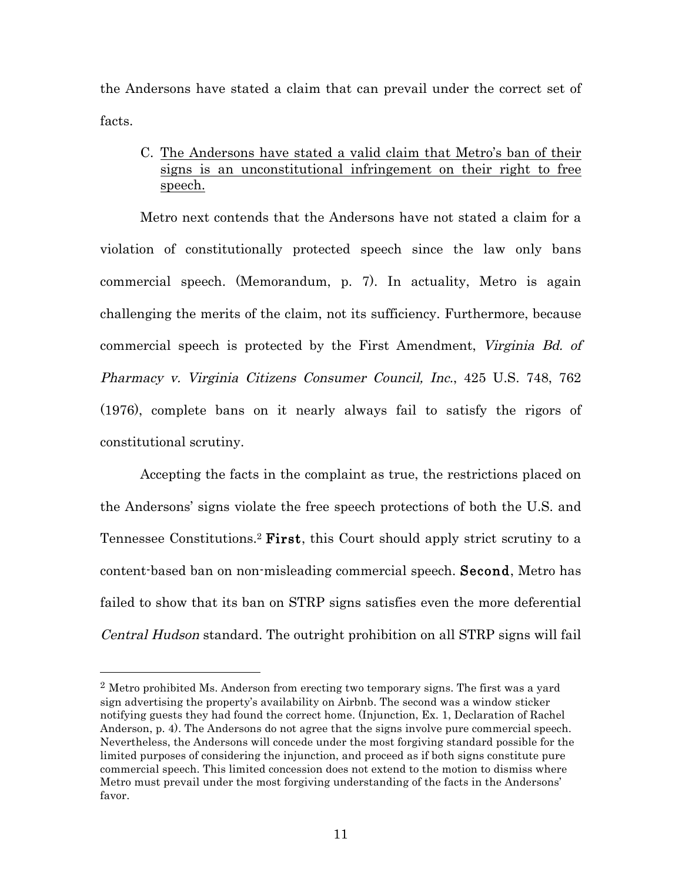the Andersons have stated a claim that can prevail under the correct set of facts.

## C. The Andersons have stated a valid claim that Metro's ban of their signs is an unconstitutional infringement on their right to free speech.

Metro next contends that the Andersons have not stated a claim for a violation of constitutionally protected speech since the law only bans commercial speech. (Memorandum, p. 7). In actuality, Metro is again challenging the merits of the claim, not its sufficiency. Furthermore, because commercial speech is protected by the First Amendment, Virginia Bd. of Pharmacy v. Virginia Citizens Consumer Council, Inc., 425 U.S. 748, 762 (1976), complete bans on it nearly always fail to satisfy the rigors of constitutional scrutiny.

Accepting the facts in the complaint as true, the restrictions placed on the Andersons' signs violate the free speech protections of both the U.S. and Tennessee Constitutions.<sup>2</sup> First, this Court should apply strict scrutiny to a content-based ban on non-misleading commercial speech. Second, Metro has failed to show that its ban on STRP signs satisfies even the more deferential Central Hudson standard. The outright prohibition on all STRP signs will fail

 <sup>2</sup> Metro prohibited Ms. Anderson from erecting two temporary signs. The first was a yard sign advertising the property's availability on Airbnb. The second was a window sticker notifying guests they had found the correct home. (Injunction, Ex. 1, Declaration of Rachel Anderson, p. 4). The Andersons do not agree that the signs involve pure commercial speech. Nevertheless, the Andersons will concede under the most forgiving standard possible for the limited purposes of considering the injunction, and proceed as if both signs constitute pure commercial speech. This limited concession does not extend to the motion to dismiss where Metro must prevail under the most forgiving understanding of the facts in the Andersons' favor.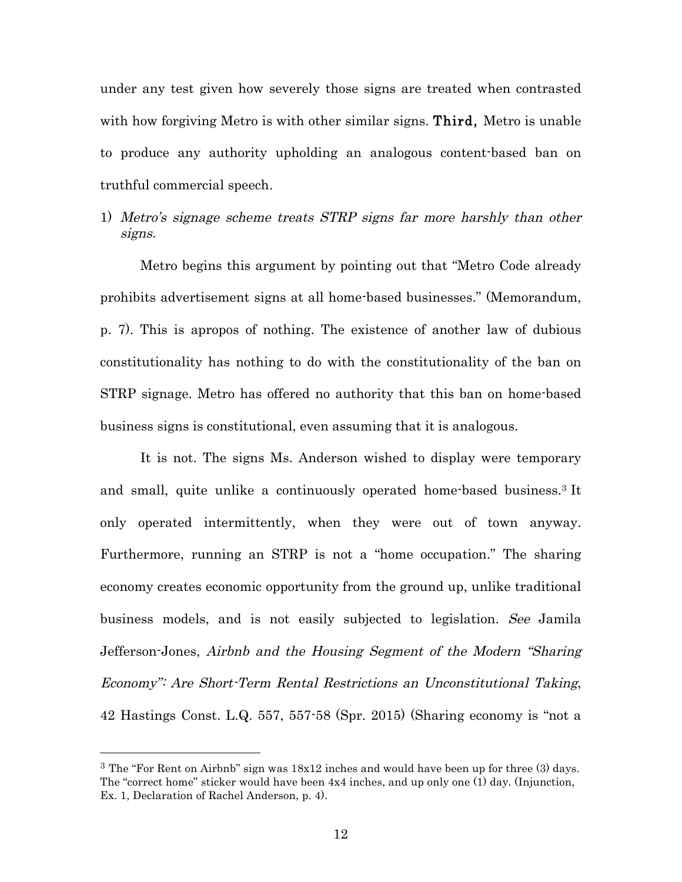under any test given how severely those signs are treated when contrasted with how forgiving Metro is with other similar signs. Third, Metro is unable to produce any authority upholding an analogous content-based ban on truthful commercial speech.

1) Metro's signage scheme treats STRP signs far more harshly than other signs.

Metro begins this argument by pointing out that "Metro Code already prohibits advertisement signs at all home-based businesses." (Memorandum, p. 7). This is apropos of nothing. The existence of another law of dubious constitutionality has nothing to do with the constitutionality of the ban on STRP signage. Metro has offered no authority that this ban on home-based business signs is constitutional, even assuming that it is analogous.

It is not. The signs Ms. Anderson wished to display were temporary and small, quite unlike a continuously operated home-based business.3 It only operated intermittently, when they were out of town anyway. Furthermore, running an STRP is not a "home occupation." The sharing economy creates economic opportunity from the ground up, unlike traditional business models, and is not easily subjected to legislation. See Jamila Jefferson-Jones, Airbnb and the Housing Segment of the Modern "Sharing Economy": Are Short-Term Rental Restrictions an Unconstitutional Taking, 42 Hastings Const. L.Q. 557, 557-58 (Spr. 2015) (Sharing economy is "not a

<sup>&</sup>lt;sup>3</sup> The "For Rent on Airbnb" sign was  $18x12$  inches and would have been up for three (3) days. The "correct home" sticker would have been 4x4 inches, and up only one (1) day. (Injunction, Ex. 1, Declaration of Rachel Anderson, p. 4).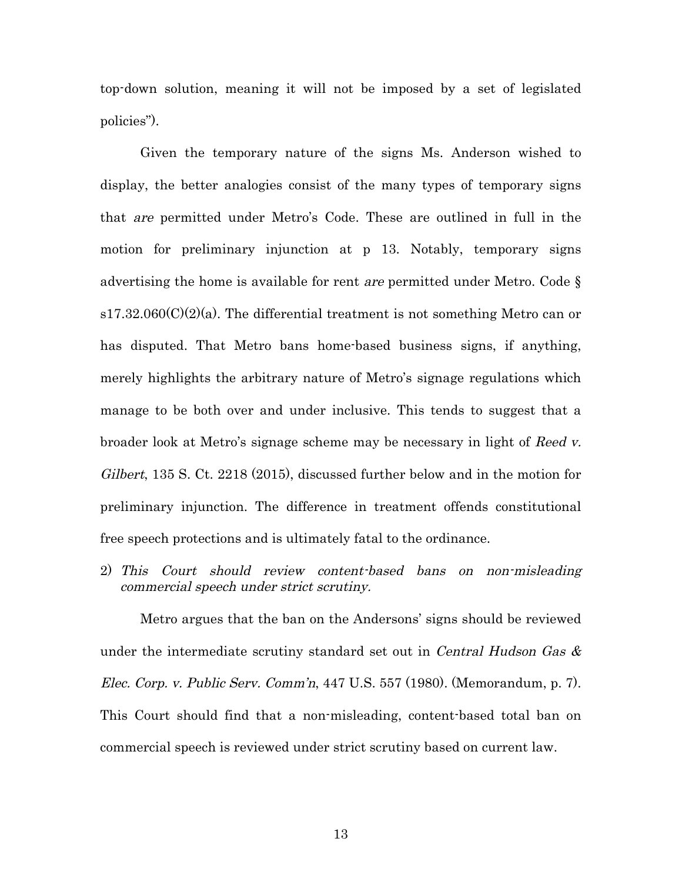top-down solution, meaning it will not be imposed by a set of legislated policies").

Given the temporary nature of the signs Ms. Anderson wished to display, the better analogies consist of the many types of temporary signs that are permitted under Metro's Code. These are outlined in full in the motion for preliminary injunction at p 13. Notably, temporary signs advertising the home is available for rent are permitted under Metro. Code §  $s17.32.060(C)(2)(a)$ . The differential treatment is not something Metro can or has disputed. That Metro bans home-based business signs, if anything, merely highlights the arbitrary nature of Metro's signage regulations which manage to be both over and under inclusive. This tends to suggest that a broader look at Metro's signage scheme may be necessary in light of Reed v. Gilbert, 135 S. Ct. 2218 (2015), discussed further below and in the motion for preliminary injunction. The difference in treatment offends constitutional free speech protections and is ultimately fatal to the ordinance.

2) This Court should review content-based bans on non-misleading commercial speech under strict scrutiny.

Metro argues that the ban on the Andersons' signs should be reviewed under the intermediate scrutiny standard set out in *Central Hudson Gas*  $\&$ Elec. Corp. v. Public Serv. Comm'n, 447 U.S. 557 (1980). (Memorandum, p. 7). This Court should find that a non-misleading, content-based total ban on commercial speech is reviewed under strict scrutiny based on current law.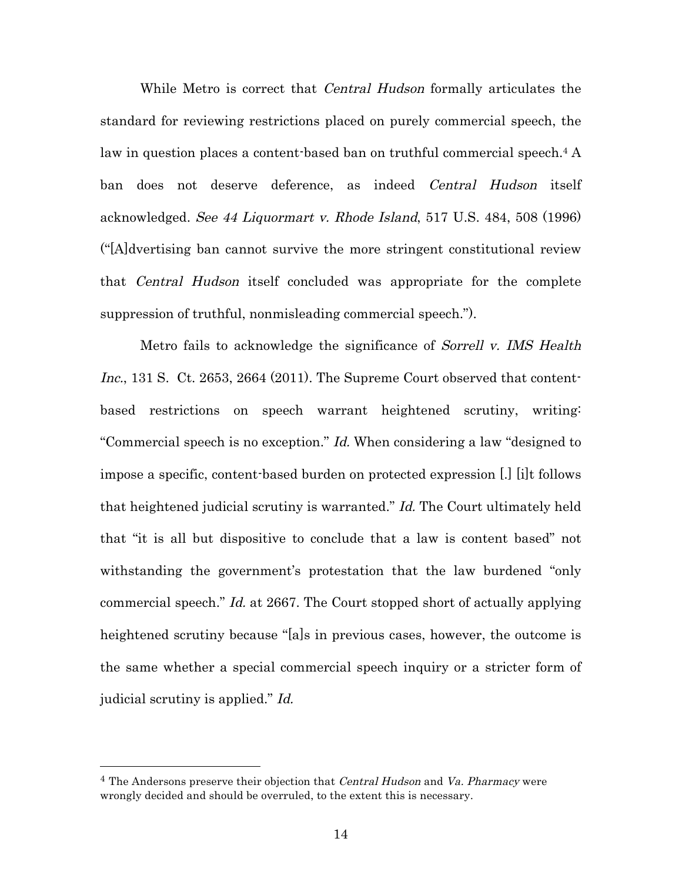While Metro is correct that *Central Hudson* formally articulates the standard for reviewing restrictions placed on purely commercial speech, the law in question places a content-based ban on truthful commercial speech.<sup>4</sup> A ban does not deserve deference, as indeed Central Hudson itself acknowledged. See 44 Liquormart v. Rhode Island, 517 U.S. 484, 508 (1996) ("[A]dvertising ban cannot survive the more stringent constitutional review that Central Hudson itself concluded was appropriate for the complete suppression of truthful, nonmisleading commercial speech.").

Metro fails to acknowledge the significance of Sorrell v. IMS Health Inc., 131 S. Ct. 2653, 2664 (2011). The Supreme Court observed that contentbased restrictions on speech warrant heightened scrutiny, writing: "Commercial speech is no exception." Id. When considering a law "designed to impose a specific, content-based burden on protected expression [.] [i]t follows that heightened judicial scrutiny is warranted." Id. The Court ultimately held that "it is all but dispositive to conclude that a law is content based" not withstanding the government's protestation that the law burdened "only commercial speech." Id. at 2667. The Court stopped short of actually applying heightened scrutiny because "[a]s in previous cases, however, the outcome is the same whether a special commercial speech inquiry or a stricter form of judicial scrutiny is applied." Id.

<sup>&</sup>lt;sup>4</sup> The Andersons preserve their objection that *Central Hudson* and *Va. Pharmacy* were wrongly decided and should be overruled, to the extent this is necessary.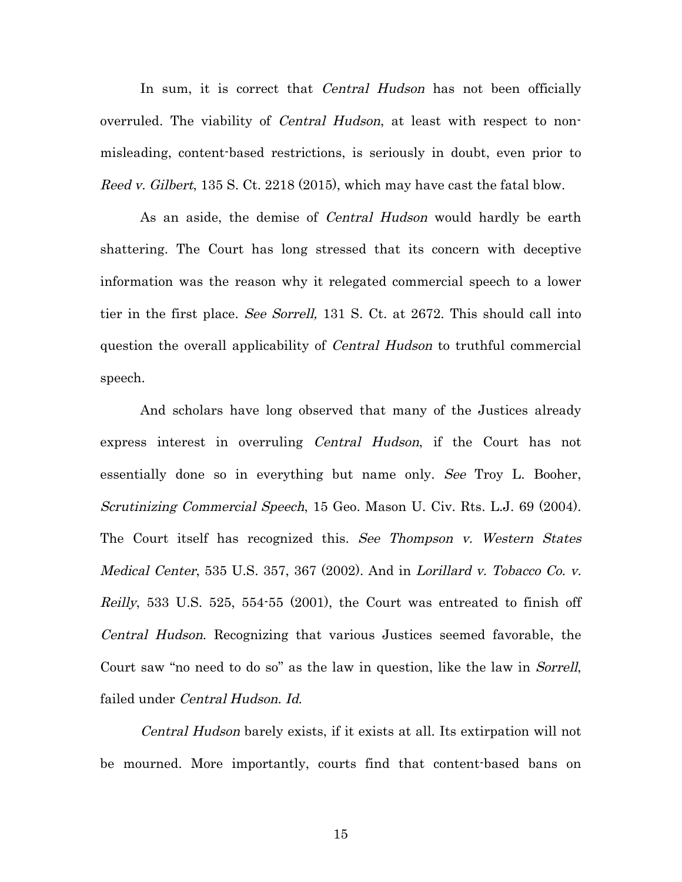In sum, it is correct that *Central Hudson* has not been officially overruled. The viability of *Central Hudson*, at least with respect to nonmisleading, content-based restrictions, is seriously in doubt, even prior to Reed v. Gilbert, 135 S. Ct. 2218 (2015), which may have cast the fatal blow.

As an aside, the demise of *Central Hudson* would hardly be earth shattering. The Court has long stressed that its concern with deceptive information was the reason why it relegated commercial speech to a lower tier in the first place. See Sorrell, 131 S. Ct. at 2672. This should call into question the overall applicability of Central Hudson to truthful commercial speech.

And scholars have long observed that many of the Justices already express interest in overruling Central Hudson, if the Court has not essentially done so in everything but name only. See Troy L. Booher, Scrutinizing Commercial Speech, 15 Geo. Mason U. Civ. Rts. L.J. 69 (2004). The Court itself has recognized this. See Thompson v. Western States Medical Center, 535 U.S. 357, 367 (2002). And in Lorillard v. Tobacco Co. v. Reilly, 533 U.S. 525, 554-55 (2001), the Court was entreated to finish off Central Hudson. Recognizing that various Justices seemed favorable, the Court saw "no need to do so" as the law in question, like the law in Sorrell, failed under Central Hudson. Id.

Central Hudson barely exists, if it exists at all. Its extirpation will not be mourned. More importantly, courts find that content-based bans on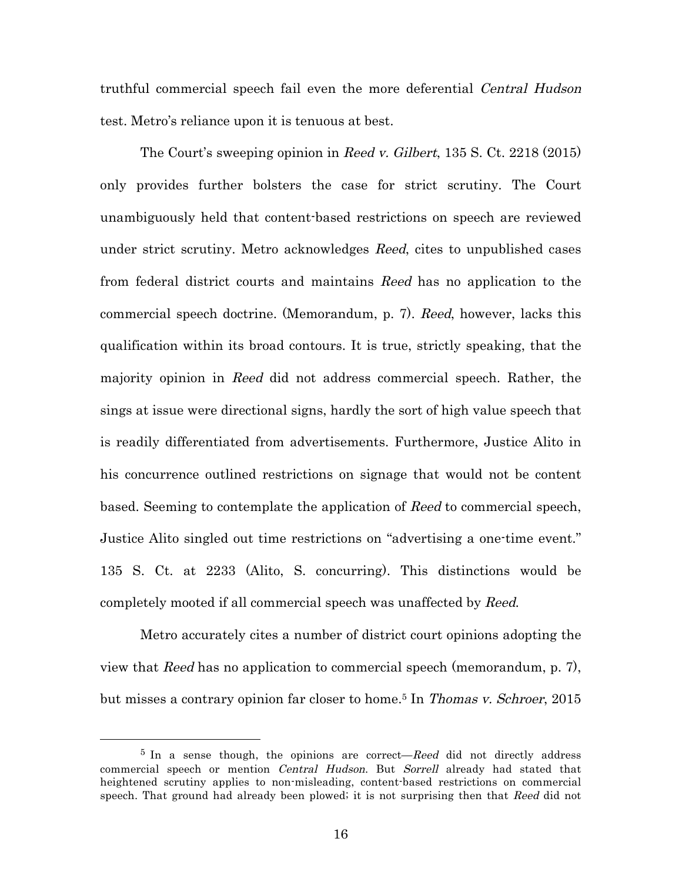truthful commercial speech fail even the more deferential Central Hudson test. Metro's reliance upon it is tenuous at best.

The Court's sweeping opinion in Reed v. Gilbert, 135 S. Ct. 2218 (2015) only provides further bolsters the case for strict scrutiny. The Court unambiguously held that content-based restrictions on speech are reviewed under strict scrutiny. Metro acknowledges *Reed*, cites to unpublished cases from federal district courts and maintains Reed has no application to the commercial speech doctrine. (Memorandum, p. 7). Reed, however, lacks this qualification within its broad contours. It is true, strictly speaking, that the majority opinion in Reed did not address commercial speech. Rather, the sings at issue were directional signs, hardly the sort of high value speech that is readily differentiated from advertisements. Furthermore, Justice Alito in his concurrence outlined restrictions on signage that would not be content based. Seeming to contemplate the application of Reed to commercial speech, Justice Alito singled out time restrictions on "advertising a one-time event." 135 S. Ct. at 2233 (Alito, S. concurring). This distinctions would be completely mooted if all commercial speech was unaffected by Reed.

Metro accurately cites a number of district court opinions adopting the view that Reed has no application to commercial speech (memorandum, p. 7), but misses a contrary opinion far closer to home.5 In Thomas v. Schroer, 2015

 $5$  In a sense though, the opinions are correct—Reed did not directly address commercial speech or mention *Central Hudson*. But *Sorrell* already had stated that heightened scrutiny applies to non-misleading, content-based restrictions on commercial speech. That ground had already been plowed; it is not surprising then that Reed did not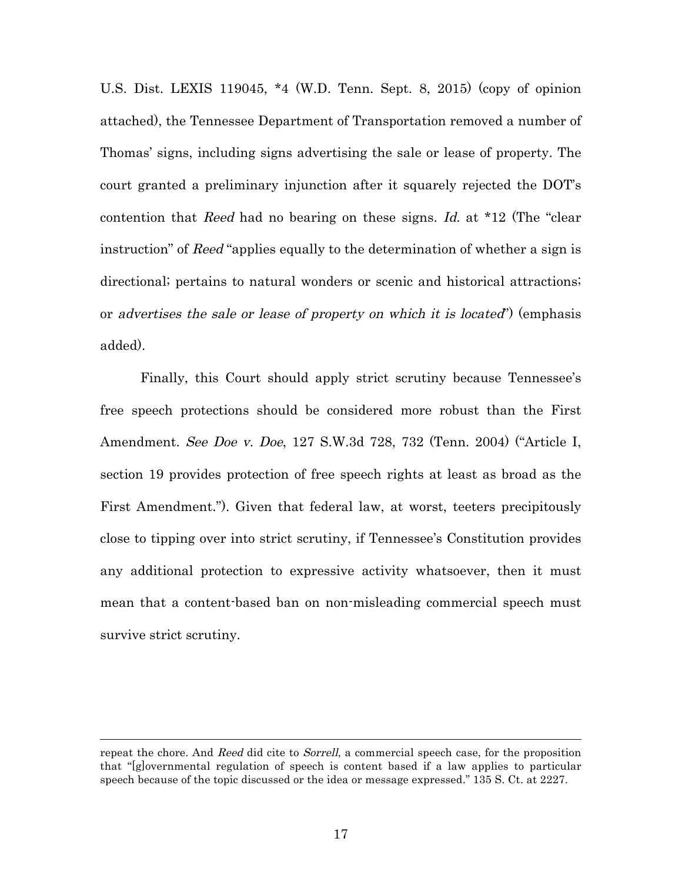U.S. Dist. LEXIS 119045, \*4 (W.D. Tenn. Sept. 8, 2015) (copy of opinion attached), the Tennessee Department of Transportation removed a number of Thomas' signs, including signs advertising the sale or lease of property. The court granted a preliminary injunction after it squarely rejected the DOT's contention that Reed had no bearing on these signs. Id. at \*12 (The "clear instruction" of Reed "applies equally to the determination of whether a sign is directional; pertains to natural wonders or scenic and historical attractions; or advertises the sale or lease of property on which it is located") (emphasis added).

Finally, this Court should apply strict scrutiny because Tennessee's free speech protections should be considered more robust than the First Amendment. See Doe v. Doe, 127 S.W.3d 728, 732 (Tenn. 2004) ("Article I, section 19 provides protection of free speech rights at least as broad as the First Amendment."). Given that federal law, at worst, teeters precipitously close to tipping over into strict scrutiny, if Tennessee's Constitution provides any additional protection to expressive activity whatsoever, then it must mean that a content-based ban on non-misleading commercial speech must survive strict scrutiny.

 $\overline{a}$ 

repeat the chore. And Reed did cite to Sorrell, a commercial speech case, for the proposition that "[g]overnmental regulation of speech is content based if a law applies to particular speech because of the topic discussed or the idea or message expressed." 135 S. Ct. at 2227.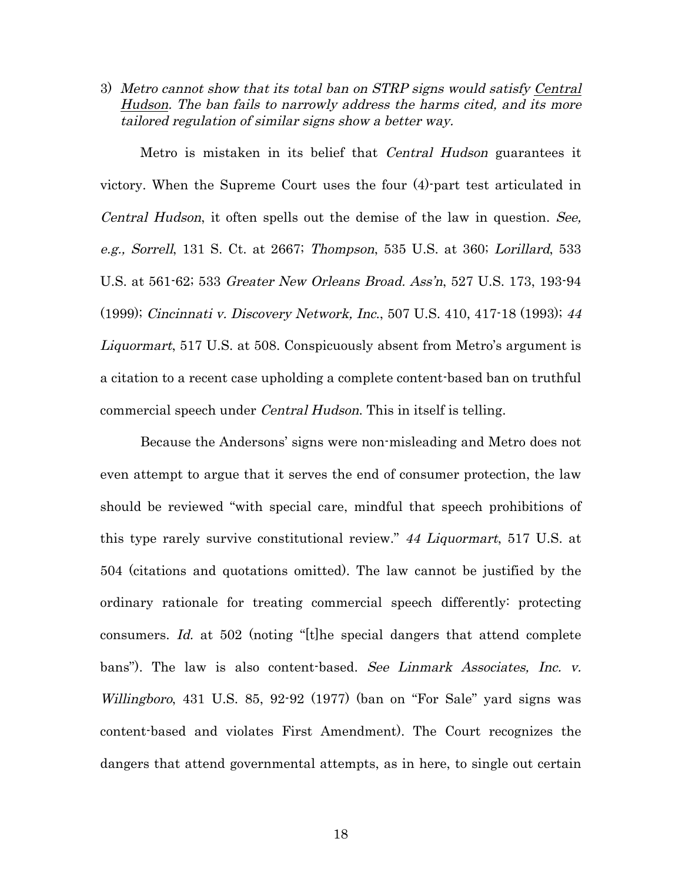3) Metro cannot show that its total ban on STRP signs would satisfy Central Hudson. The ban fails to narrowly address the harms cited, and its more tailored regulation of similar signs show a better way.

Metro is mistaken in its belief that Central Hudson guarantees it victory. When the Supreme Court uses the four (4)-part test articulated in Central Hudson, it often spells out the demise of the law in question. See, e.g., Sorrell, 131 S. Ct. at 2667; Thompson, 535 U.S. at 360; Lorillard, 533 U.S. at 561-62; 533 Greater New Orleans Broad. Ass'n, 527 U.S. 173, 193-94 (1999); Cincinnati v. Discovery Network, Inc., 507 U.S. 410, 417-18 (1993); <sup>44</sup> Liquormart, 517 U.S. at 508. Conspicuously absent from Metro's argument is a citation to a recent case upholding a complete content-based ban on truthful commercial speech under Central Hudson. This in itself is telling.

Because the Andersons' signs were non-misleading and Metro does not even attempt to argue that it serves the end of consumer protection, the law should be reviewed "with special care, mindful that speech prohibitions of this type rarely survive constitutional review." 44 Liquormart, 517 U.S. at 504 (citations and quotations omitted). The law cannot be justified by the ordinary rationale for treating commercial speech differently: protecting consumers. Id. at 502 (noting "[t]he special dangers that attend complete bans"). The law is also content-based. See Linmark Associates, Inc. v. Willingboro, 431 U.S. 85, 92-92 (1977) (ban on "For Sale" yard signs was content-based and violates First Amendment). The Court recognizes the dangers that attend governmental attempts, as in here, to single out certain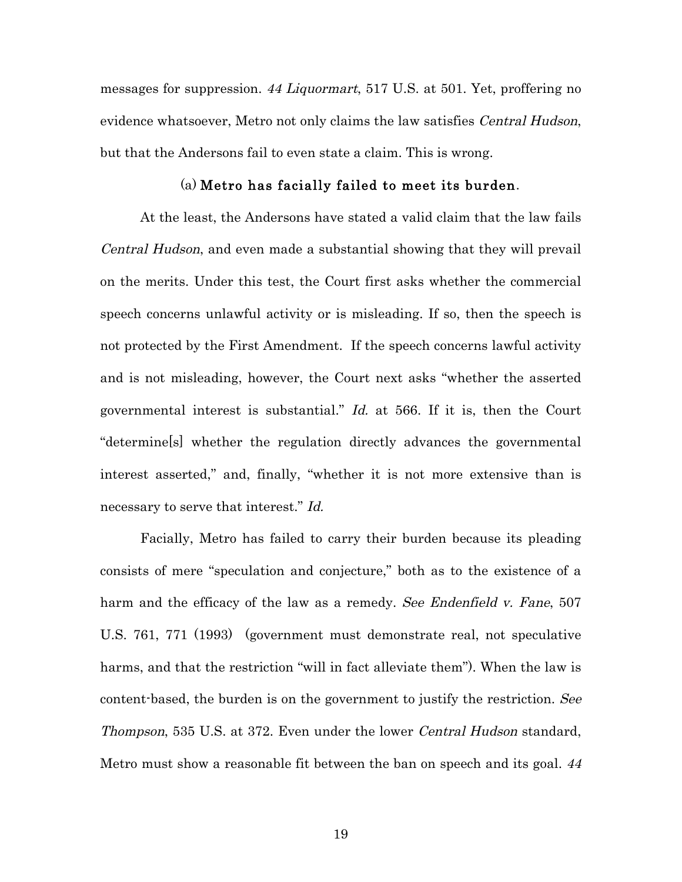messages for suppression. 44 Liquormart, 517 U.S. at 501. Yet, proffering no evidence whatsoever, Metro not only claims the law satisfies *Central Hudson*, but that the Andersons fail to even state a claim. This is wrong.

#### (a) Metro has facially failed to meet its burden.

At the least, the Andersons have stated a valid claim that the law fails Central Hudson, and even made a substantial showing that they will prevail on the merits. Under this test, the Court first asks whether the commercial speech concerns unlawful activity or is misleading. If so, then the speech is not protected by the First Amendment. If the speech concerns lawful activity and is not misleading, however, the Court next asks "whether the asserted governmental interest is substantial." Id. at 566. If it is, then the Court "determine[s] whether the regulation directly advances the governmental interest asserted," and, finally, "whether it is not more extensive than is necessary to serve that interest." Id.

Facially, Metro has failed to carry their burden because its pleading consists of mere "speculation and conjecture," both as to the existence of a harm and the efficacy of the law as a remedy. See Endenfield v. Fane, 507 U.S. 761, 771 (1993) (government must demonstrate real, not speculative harms, and that the restriction "will in fact alleviate them"). When the law is content-based, the burden is on the government to justify the restriction. See Thompson, 535 U.S. at 372. Even under the lower Central Hudson standard, Metro must show a reasonable fit between the ban on speech and its goal. <sup>44</sup>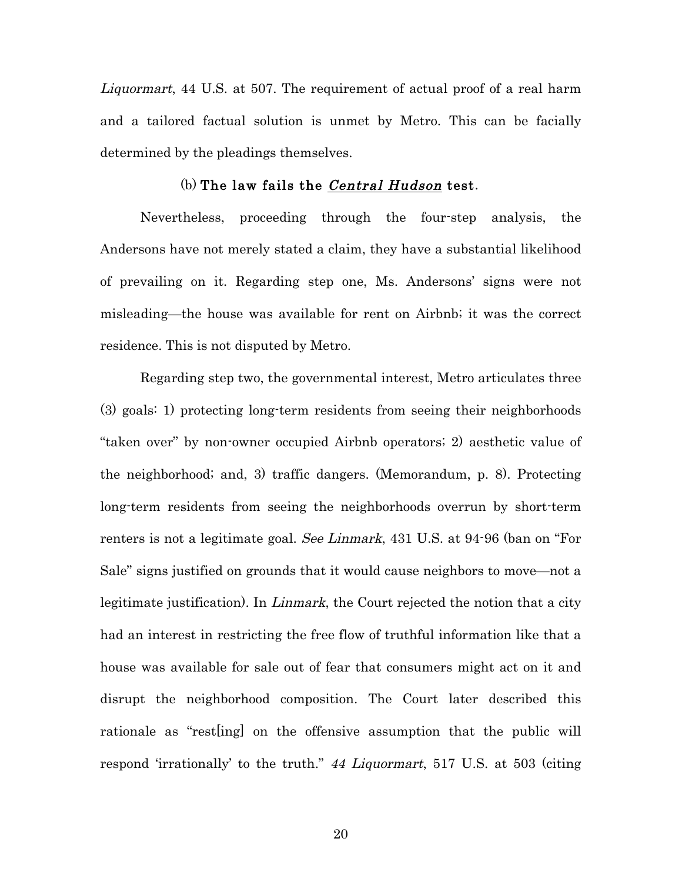Liquormart, 44 U.S. at 507. The requirement of actual proof of a real harm and a tailored factual solution is unmet by Metro. This can be facially determined by the pleadings themselves.

#### (b) The law fails the Central Hudson test.

Nevertheless, proceeding through the four-step analysis, the Andersons have not merely stated a claim, they have a substantial likelihood of prevailing on it. Regarding step one, Ms. Andersons' signs were not misleading—the house was available for rent on Airbnb; it was the correct residence. This is not disputed by Metro.

Regarding step two, the governmental interest, Metro articulates three (3) goals: 1) protecting long-term residents from seeing their neighborhoods "taken over" by non-owner occupied Airbnb operators; 2) aesthetic value of the neighborhood; and, 3) traffic dangers. (Memorandum, p. 8). Protecting long-term residents from seeing the neighborhoods overrun by short-term renters is not a legitimate goal. See Linmark, 431 U.S. at 94.96 (ban on "For Sale" signs justified on grounds that it would cause neighbors to move—not a legitimate justification). In *Linmark*, the Court rejected the notion that a city had an interest in restricting the free flow of truthful information like that a house was available for sale out of fear that consumers might act on it and disrupt the neighborhood composition. The Court later described this rationale as "rest[ing] on the offensive assumption that the public will respond 'irrationally' to the truth." 44 Liquormart, 517 U.S. at 503 (citing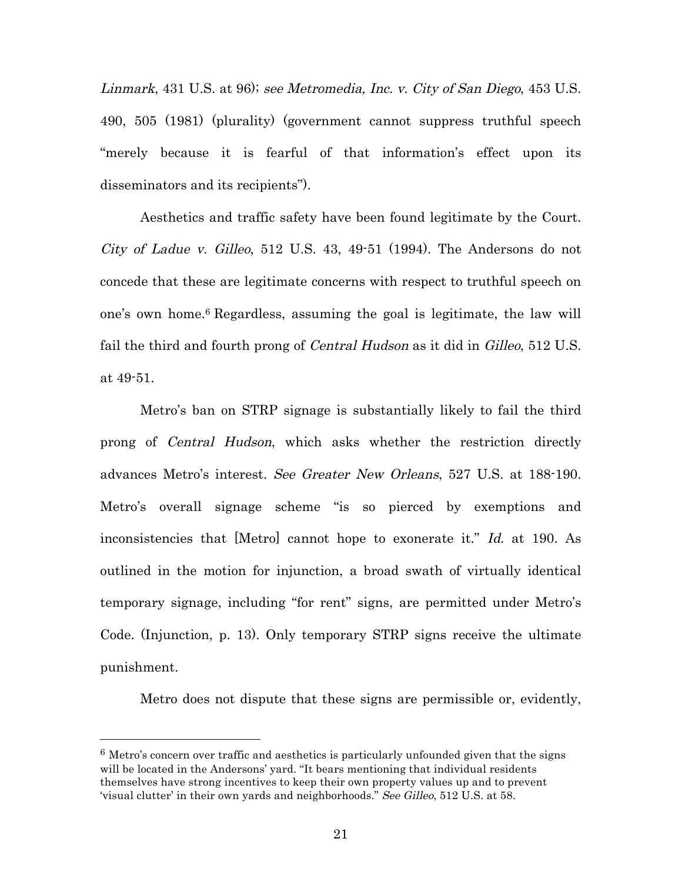Linmark, 431 U.S. at 96); see Metromedia, Inc. v. City of San Diego, 453 U.S. 490, 505 (1981) (plurality) (government cannot suppress truthful speech "merely because it is fearful of that information's effect upon its disseminators and its recipients").

Aesthetics and traffic safety have been found legitimate by the Court. City of Ladue v. Gilleo, 512 U.S. 43, 49-51 (1994). The Andersons do not concede that these are legitimate concerns with respect to truthful speech on one's own home.6 Regardless, assuming the goal is legitimate, the law will fail the third and fourth prong of *Central Hudson* as it did in *Gilleo*, 512 U.S. at 49-51.

Metro's ban on STRP signage is substantially likely to fail the third prong of Central Hudson, which asks whether the restriction directly advances Metro's interest. See Greater New Orleans, 527 U.S. at 188-190. Metro's overall signage scheme "is so pierced by exemptions and inconsistencies that [Metro] cannot hope to exonerate it." Id. at 190. As outlined in the motion for injunction, a broad swath of virtually identical temporary signage, including "for rent" signs, are permitted under Metro's Code. (Injunction, p. 13). Only temporary STRP signs receive the ultimate punishment.

Metro does not dispute that these signs are permissible or, evidently,

 $6$  Metro's concern over traffic and aesthetics is particularly unfounded given that the signs will be located in the Andersons' yard. "It bears mentioning that individual residents themselves have strong incentives to keep their own property values up and to prevent 'visual clutter' in their own yards and neighborhoods." See Gilleo, 512 U.S. at 58.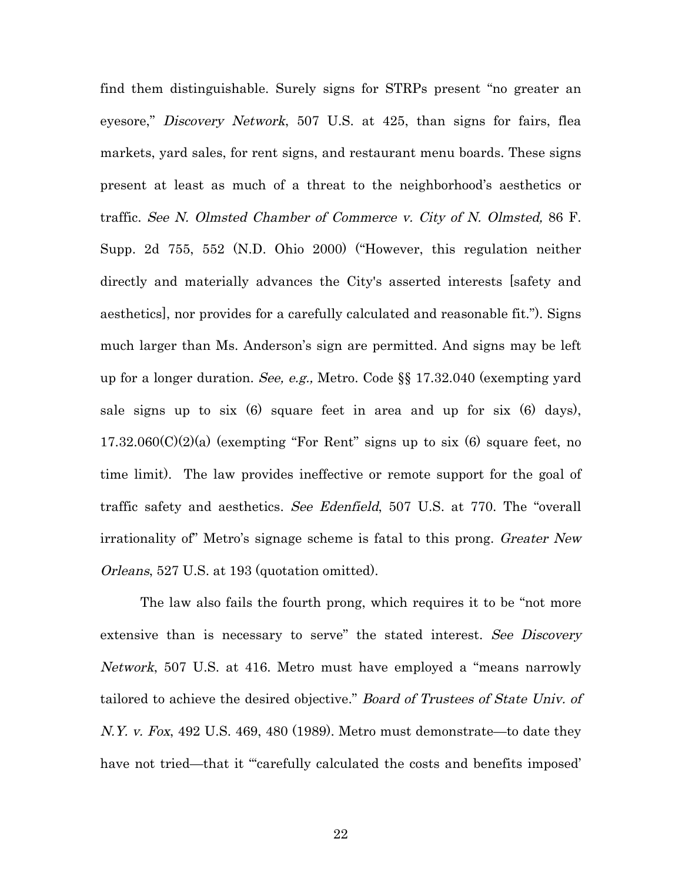find them distinguishable. Surely signs for STRPs present "no greater an eyesore," *Discovery Network*, 507 U.S. at 425, than signs for fairs, flea markets, yard sales, for rent signs, and restaurant menu boards. These signs present at least as much of a threat to the neighborhood's aesthetics or traffic. See N. Olmsted Chamber of Commerce v. City of N. Olmsted, 86 F. Supp. 2d 755, 552 (N.D. Ohio 2000) ("However, this regulation neither directly and materially advances the City's asserted interests [safety and aesthetics], nor provides for a carefully calculated and reasonable fit."). Signs much larger than Ms. Anderson's sign are permitted. And signs may be left up for a longer duration. See, e.g., Metro. Code §§ 17.32.040 (exempting yard sale signs up to six (6) square feet in area and up for six (6) days),  $17.32.060(C)(2)(a)$  (exempting "For Rent" signs up to six (6) square feet, no time limit). The law provides ineffective or remote support for the goal of traffic safety and aesthetics. See Edenfield, 507 U.S. at 770. The "overall irrationality of" Metro's signage scheme is fatal to this prong. Greater New Orleans, 527 U.S. at 193 (quotation omitted).

The law also fails the fourth prong, which requires it to be "not more extensive than is necessary to serve" the stated interest. See Discovery Network, 507 U.S. at 416. Metro must have employed a "means narrowly tailored to achieve the desired objective." Board of Trustees of State Univ. of N.Y. v. Fox, 492 U.S. 469, 480 (1989). Metro must demonstrate—to date they have not tried—that it "carefully calculated the costs and benefits imposed'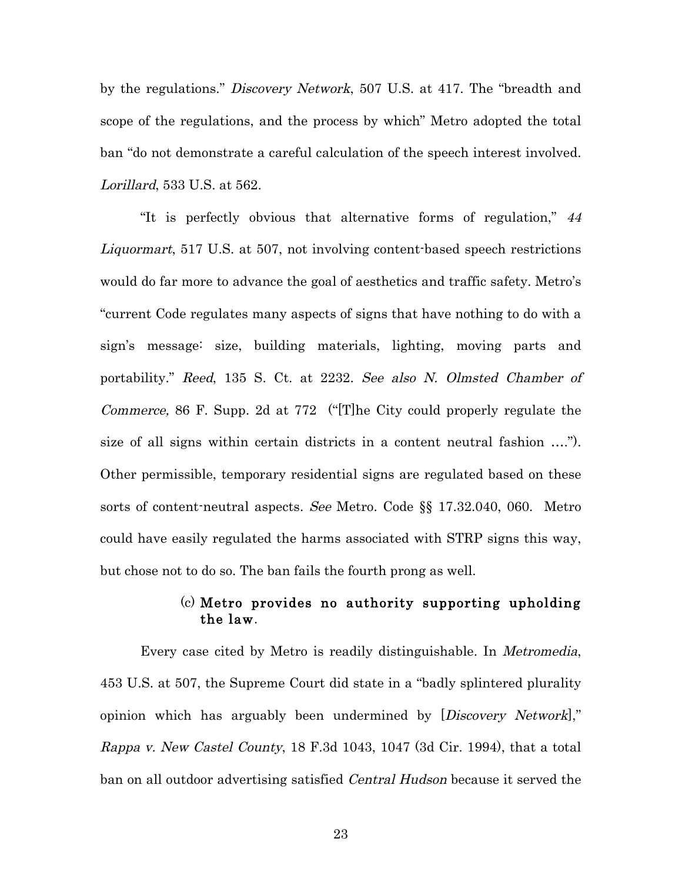by the regulations." *Discovery Network*, 507 U.S. at 417. The "breadth and scope of the regulations, and the process by which" Metro adopted the total ban "do not demonstrate a careful calculation of the speech interest involved. Lorillard, 533 U.S. at 562.

"It is perfectly obvious that alternative forms of regulation," <sup>44</sup> Liquormart, 517 U.S. at 507, not involving content-based speech restrictions would do far more to advance the goal of aesthetics and traffic safety. Metro's "current Code regulates many aspects of signs that have nothing to do with a sign's message: size, building materials, lighting, moving parts and portability." Reed, 135 S. Ct. at 2232. See also N. Olmsted Chamber of Commerce, 86 F. Supp. 2d at 772 ("[T]he City could properly regulate the size of all signs within certain districts in a content neutral fashion …."). Other permissible, temporary residential signs are regulated based on these sorts of content-neutral aspects. See Metro. Code §§ 17.32.040, 060. Metro could have easily regulated the harms associated with STRP signs this way, but chose not to do so. The ban fails the fourth prong as well.

### (c) Metro provides no authority supporting upholding the law.

Every case cited by Metro is readily distinguishable. In Metromedia, 453 U.S. at 507, the Supreme Court did state in a "badly splintered plurality opinion which has arguably been undermined by [*Discovery Network*]," Rappa v. New Castel County, 18 F.3d 1043, 1047 (3d Cir. 1994), that a total ban on all outdoor advertising satisfied *Central Hudson* because it served the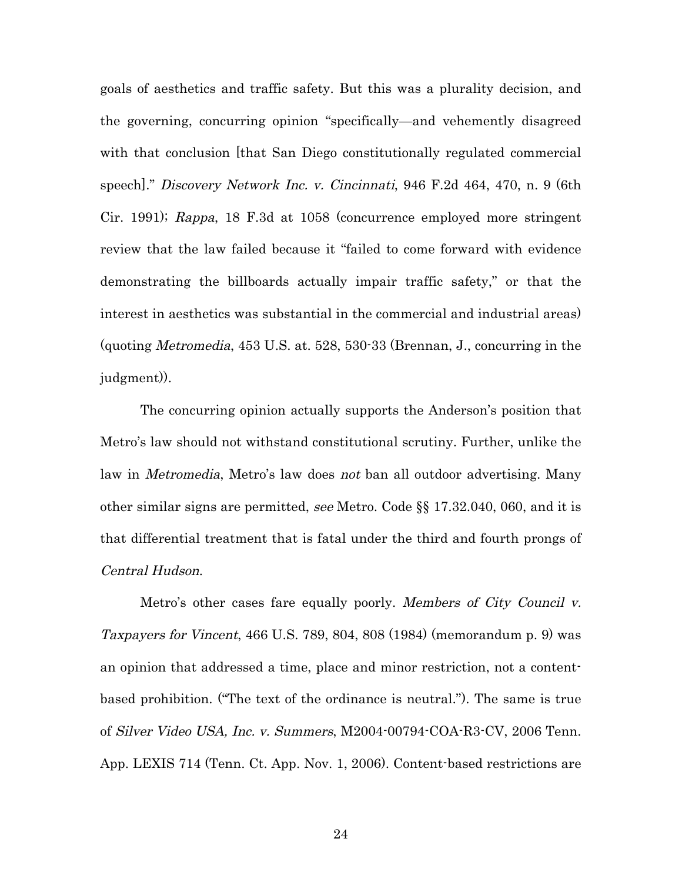goals of aesthetics and traffic safety. But this was a plurality decision, and the governing, concurring opinion "specifically—and vehemently disagreed with that conclusion [that San Diego constitutionally regulated commercial speech]." Discovery Network Inc. v. Cincinnati, 946 F.2d 464, 470, n. 9 (6th Cir. 1991); Rappa, 18 F.3d at 1058 (concurrence employed more stringent review that the law failed because it "failed to come forward with evidence demonstrating the billboards actually impair traffic safety," or that the interest in aesthetics was substantial in the commercial and industrial areas) (quoting Metromedia, 453 U.S. at. 528, 530-33 (Brennan, J., concurring in the judgment)).

The concurring opinion actually supports the Anderson's position that Metro's law should not withstand constitutional scrutiny. Further, unlike the law in *Metromedia*, Metro's law does not ban all outdoor advertising. Many other similar signs are permitted, see Metro. Code §§ 17.32.040, 060, and it is that differential treatment that is fatal under the third and fourth prongs of Central Hudson.

Metro's other cases fare equally poorly. Members of City Council v. Taxpayers for Vincent, 466 U.S. 789, 804, 808 (1984) (memorandum p. 9) was an opinion that addressed a time, place and minor restriction, not a contentbased prohibition. ("The text of the ordinance is neutral."). The same is true of Silver Video USA, Inc. v. Summers, M2004-00794-COA-R3-CV, 2006 Tenn. App. LEXIS 714 (Tenn. Ct. App. Nov. 1, 2006). Content-based restrictions are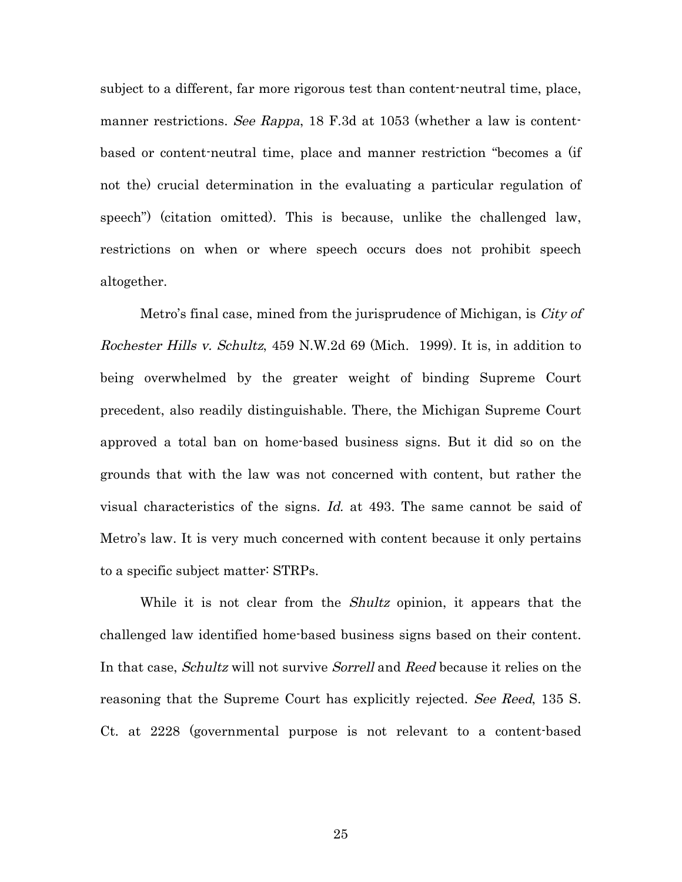subject to a different, far more rigorous test than content-neutral time, place, manner restrictions. See Rappa, 18 F.3d at 1053 (whether a law is contentbased or content-neutral time, place and manner restriction "becomes a (if not the) crucial determination in the evaluating a particular regulation of speech") (citation omitted). This is because, unlike the challenged law, restrictions on when or where speech occurs does not prohibit speech altogether.

Metro's final case, mined from the jurisprudence of Michigan, is City of Rochester Hills v. Schultz, 459 N.W.2d 69 (Mich. 1999). It is, in addition to being overwhelmed by the greater weight of binding Supreme Court precedent, also readily distinguishable. There, the Michigan Supreme Court approved a total ban on home-based business signs. But it did so on the grounds that with the law was not concerned with content, but rather the visual characteristics of the signs. Id. at 493. The same cannot be said of Metro's law. It is very much concerned with content because it only pertains to a specific subject matter: STRPs.

While it is not clear from the Shultz opinion, it appears that the challenged law identified home-based business signs based on their content. In that case, *Schultz* will not survive *Sorrell* and *Reed* because it relies on the reasoning that the Supreme Court has explicitly rejected. See Reed, 135 S. Ct. at 2228 (governmental purpose is not relevant to a content-based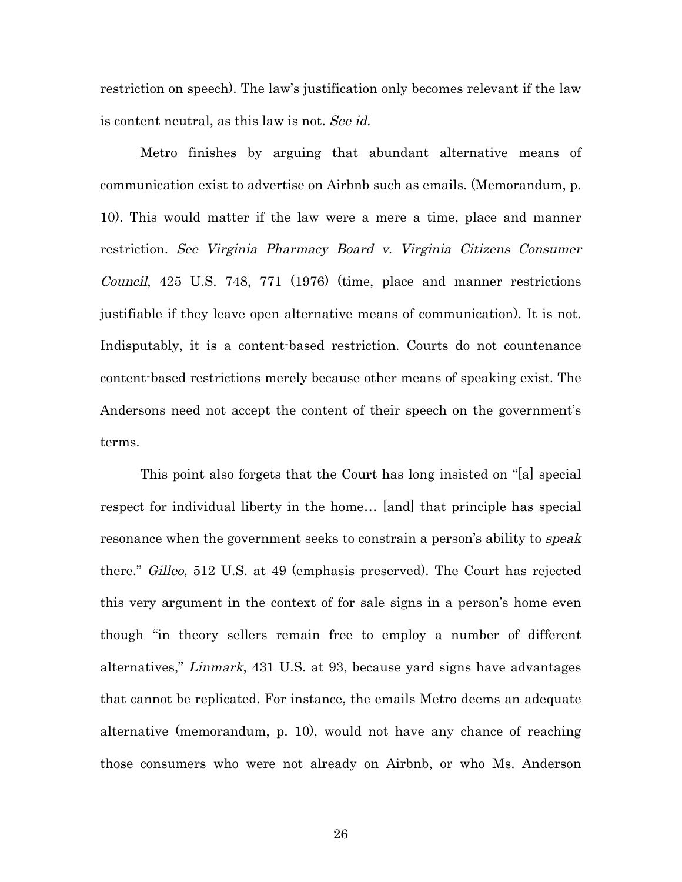restriction on speech). The law's justification only becomes relevant if the law is content neutral, as this law is not. See id.

Metro finishes by arguing that abundant alternative means of communication exist to advertise on Airbnb such as emails. (Memorandum, p. 10). This would matter if the law were a mere a time, place and manner restriction. See Virginia Pharmacy Board v. Virginia Citizens Consumer Council, 425 U.S. 748, 771 (1976) (time, place and manner restrictions justifiable if they leave open alternative means of communication). It is not. Indisputably, it is a content-based restriction. Courts do not countenance content-based restrictions merely because other means of speaking exist. The Andersons need not accept the content of their speech on the government's terms.

This point also forgets that the Court has long insisted on "[a] special respect for individual liberty in the home… [and] that principle has special resonance when the government seeks to constrain a person's ability to *speak* there." Gilleo, 512 U.S. at 49 (emphasis preserved). The Court has rejected this very argument in the context of for sale signs in a person's home even though "in theory sellers remain free to employ a number of different alternatives," Linmark, 431 U.S. at 93, because yard signs have advantages that cannot be replicated. For instance, the emails Metro deems an adequate alternative (memorandum, p. 10), would not have any chance of reaching those consumers who were not already on Airbnb, or who Ms. Anderson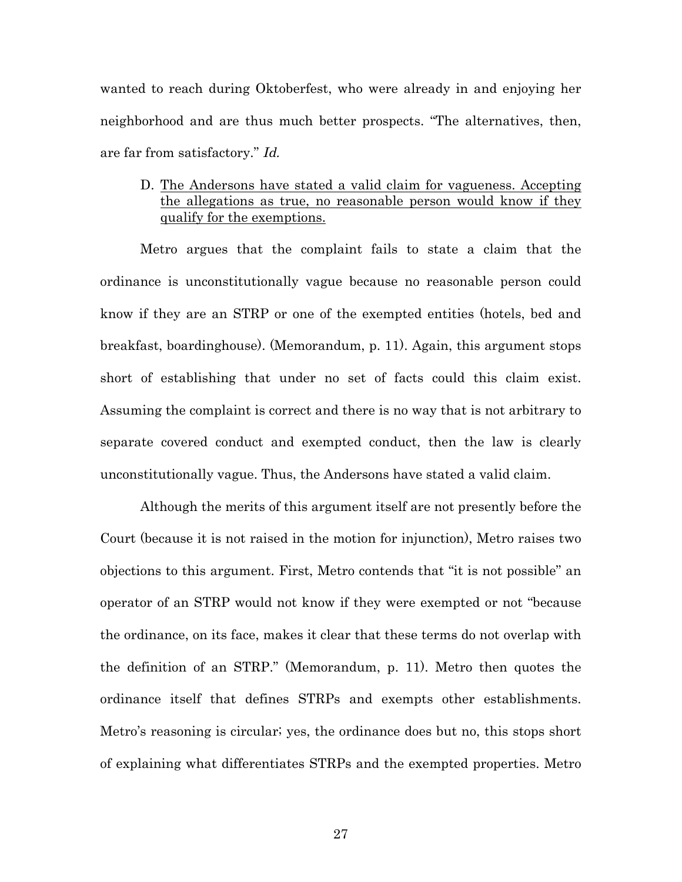wanted to reach during Oktoberfest, who were already in and enjoying her neighborhood and are thus much better prospects. "The alternatives, then, are far from satisfactory." Id.

### D. The Andersons have stated a valid claim for vagueness. Accepting the allegations as true, no reasonable person would know if they qualify for the exemptions.

Metro argues that the complaint fails to state a claim that the ordinance is unconstitutionally vague because no reasonable person could know if they are an STRP or one of the exempted entities (hotels, bed and breakfast, boardinghouse). (Memorandum, p. 11). Again, this argument stops short of establishing that under no set of facts could this claim exist. Assuming the complaint is correct and there is no way that is not arbitrary to separate covered conduct and exempted conduct, then the law is clearly unconstitutionally vague. Thus, the Andersons have stated a valid claim.

Although the merits of this argument itself are not presently before the Court (because it is not raised in the motion for injunction), Metro raises two objections to this argument. First, Metro contends that "it is not possible" an operator of an STRP would not know if they were exempted or not "because the ordinance, on its face, makes it clear that these terms do not overlap with the definition of an STRP." (Memorandum, p. 11). Metro then quotes the ordinance itself that defines STRPs and exempts other establishments. Metro's reasoning is circular; yes, the ordinance does but no, this stops short of explaining what differentiates STRPs and the exempted properties. Metro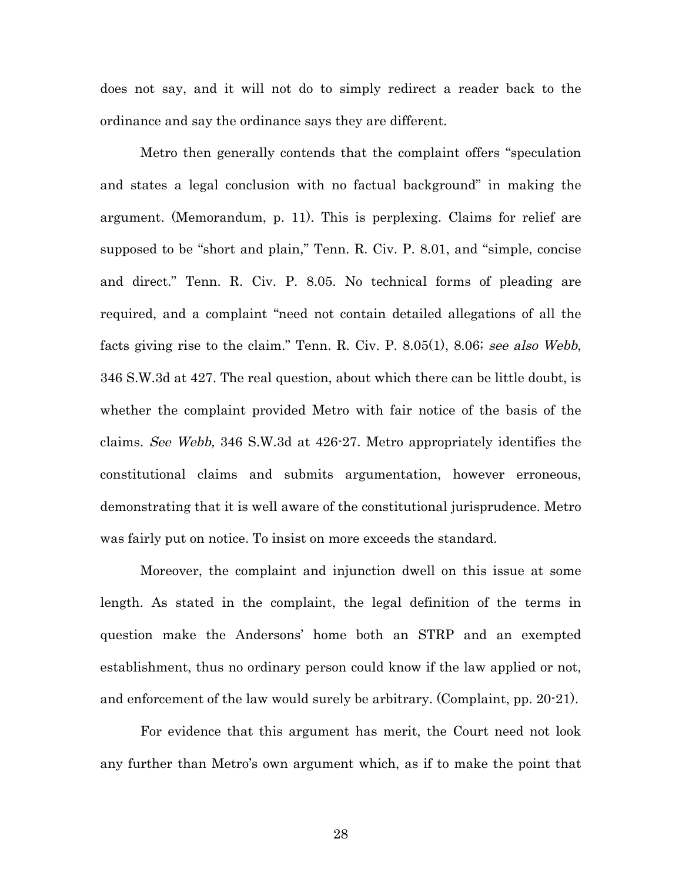does not say, and it will not do to simply redirect a reader back to the ordinance and say the ordinance says they are different.

Metro then generally contends that the complaint offers "speculation and states a legal conclusion with no factual background" in making the argument. (Memorandum, p. 11). This is perplexing. Claims for relief are supposed to be "short and plain," Tenn. R. Civ. P. 8.01, and "simple, concise and direct." Tenn. R. Civ. P. 8.05. No technical forms of pleading are required, and a complaint "need not contain detailed allegations of all the facts giving rise to the claim." Tenn. R. Civ. P. 8.05(1), 8.06; see also Webb, 346 S.W.3d at 427. The real question, about which there can be little doubt, is whether the complaint provided Metro with fair notice of the basis of the claims. See Webb, 346 S.W.3d at 426-27. Metro appropriately identifies the constitutional claims and submits argumentation, however erroneous, demonstrating that it is well aware of the constitutional jurisprudence. Metro was fairly put on notice. To insist on more exceeds the standard.

Moreover, the complaint and injunction dwell on this issue at some length. As stated in the complaint, the legal definition of the terms in question make the Andersons' home both an STRP and an exempted establishment, thus no ordinary person could know if the law applied or not, and enforcement of the law would surely be arbitrary. (Complaint, pp. 20-21).

For evidence that this argument has merit, the Court need not look any further than Metro's own argument which, as if to make the point that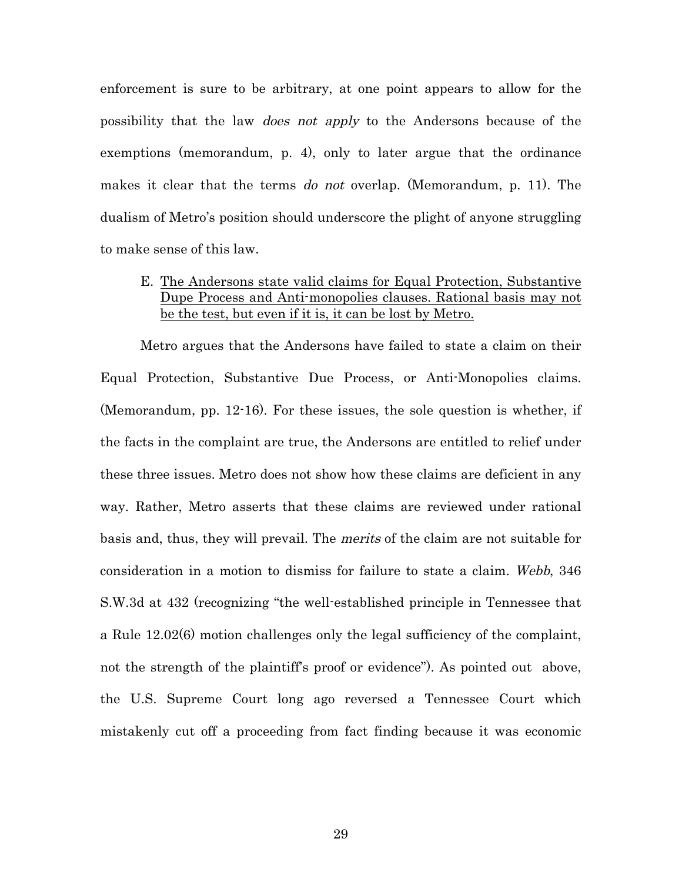enforcement is sure to be arbitrary, at one point appears to allow for the possibility that the law does not apply to the Andersons because of the exemptions (memorandum, p. 4), only to later argue that the ordinance makes it clear that the terms do not overlap. (Memorandum, p. 11). The dualism of Metro's position should underscore the plight of anyone struggling to make sense of this law.

## E. The Andersons state valid claims for Equal Protection, Substantive Dupe Process and Anti-monopolies clauses. Rational basis may not be the test, but even if it is, it can be lost by Metro.

Metro argues that the Andersons have failed to state a claim on their Equal Protection, Substantive Due Process, or Anti-Monopolies claims. (Memorandum, pp. 12-16). For these issues, the sole question is whether, if the facts in the complaint are true, the Andersons are entitled to relief under these three issues. Metro does not show how these claims are deficient in any way. Rather, Metro asserts that these claims are reviewed under rational basis and, thus, they will prevail. The merits of the claim are not suitable for consideration in a motion to dismiss for failure to state a claim. Webb, 346 S.W.3d at 432 (recognizing "the well-established principle in Tennessee that a Rule 12.02(6) motion challenges only the legal sufficiency of the complaint, not the strength of the plaintiff's proof or evidence"). As pointed out above, the U.S. Supreme Court long ago reversed a Tennessee Court which mistakenly cut off a proceeding from fact finding because it was economic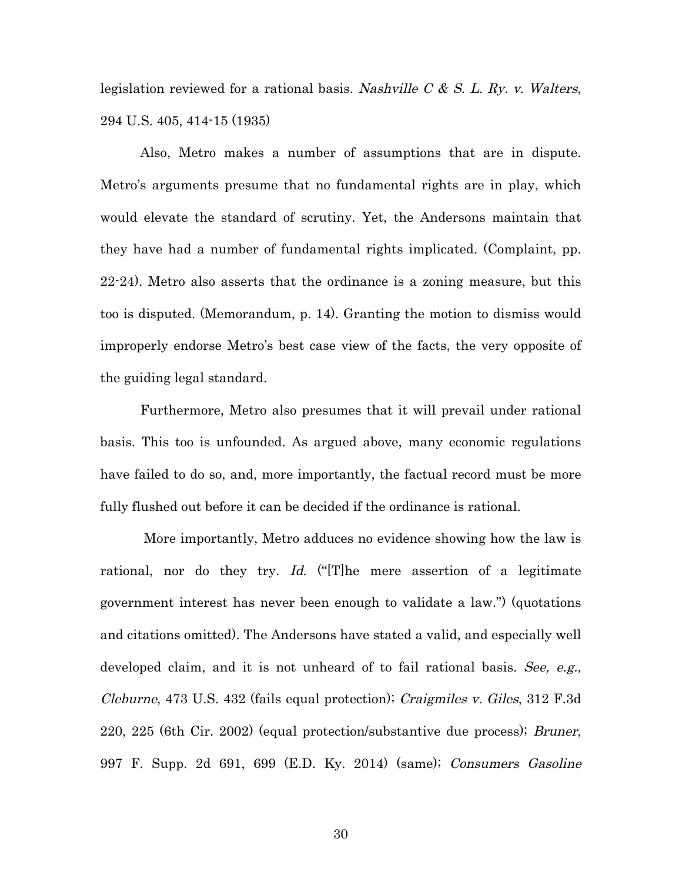legislation reviewed for a rational basis. Nashville  $C \& S$ . L. Ry. v. Walters, 294 U.S. 405, 414-15 (1935)

Also, Metro makes a number of assumptions that are in dispute. Metro's arguments presume that no fundamental rights are in play, which would elevate the standard of scrutiny. Yet, the Andersons maintain that they have had a number of fundamental rights implicated. (Complaint, pp. 22-24). Metro also asserts that the ordinance is a zoning measure, but this too is disputed. (Memorandum, p. 14). Granting the motion to dismiss would improperly endorse Metro's best case view of the facts, the very opposite of the guiding legal standard.

Furthermore, Metro also presumes that it will prevail under rational basis. This too is unfounded. As argued above, many economic regulations have failed to do so, and, more importantly, the factual record must be more fully flushed out before it can be decided if the ordinance is rational.

More importantly, Metro adduces no evidence showing how the law is rational, nor do they try. Id. ("The mere assertion of a legitimate government interest has never been enough to validate a law.") (quotations and citations omitted). The Andersons have stated a valid, and especially well developed claim, and it is not unheard of to fail rational basis. See, e.g., Cleburne, 473 U.S. 432 (fails equal protection); Craigmiles v. Giles, 312 F.3d 220, 225 (6th Cir. 2002) (equal protection/substantive due process); Bruner, 997 F. Supp. 2d 691, 699 (E.D. Ky. 2014) (same); Consumers Gasoline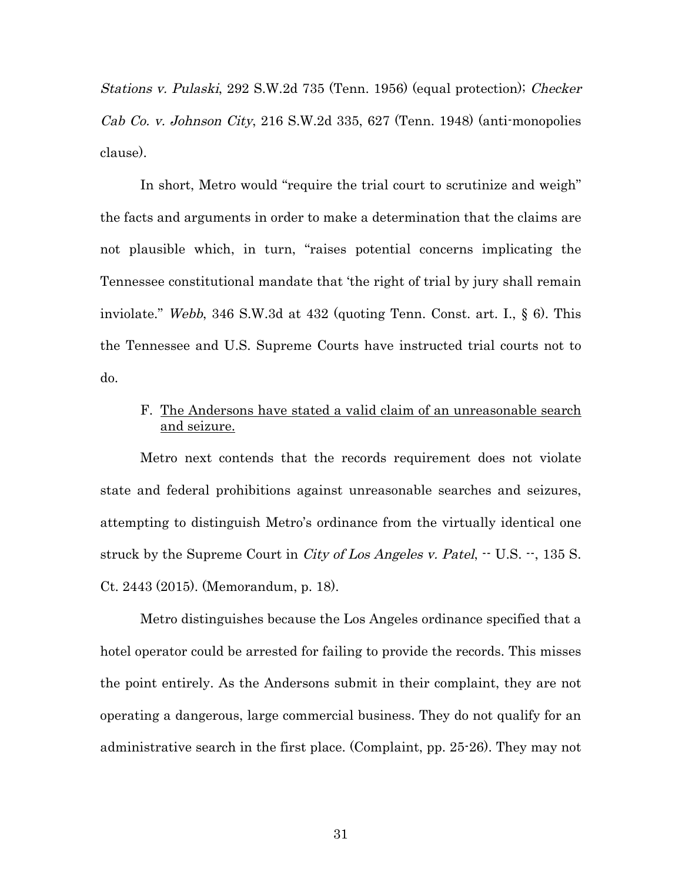Stations v. Pulaski, 292 S.W.2d 735 (Tenn. 1956) (equal protection); Checker Cab Co. v. Johnson City, 216 S.W.2d 335, 627 (Tenn. 1948) (anti-monopolies clause).

In short, Metro would "require the trial court to scrutinize and weigh" the facts and arguments in order to make a determination that the claims are not plausible which, in turn, "raises potential concerns implicating the Tennessee constitutional mandate that 'the right of trial by jury shall remain inviolate." Webb, 346 S.W.3d at 432 (quoting Tenn. Const. art. I., § 6). This the Tennessee and U.S. Supreme Courts have instructed trial courts not to do.

# F. The Andersons have stated a valid claim of an unreasonable search and seizure.

Metro next contends that the records requirement does not violate state and federal prohibitions against unreasonable searches and seizures, attempting to distinguish Metro's ordinance from the virtually identical one struck by the Supreme Court in *City of Los Angeles v. Patel*,  $\cdot$  U.S.  $\cdot$ , 135 S. Ct. 2443 (2015). (Memorandum, p. 18).

Metro distinguishes because the Los Angeles ordinance specified that a hotel operator could be arrested for failing to provide the records. This misses the point entirely. As the Andersons submit in their complaint, they are not operating a dangerous, large commercial business. They do not qualify for an administrative search in the first place. (Complaint, pp. 25-26). They may not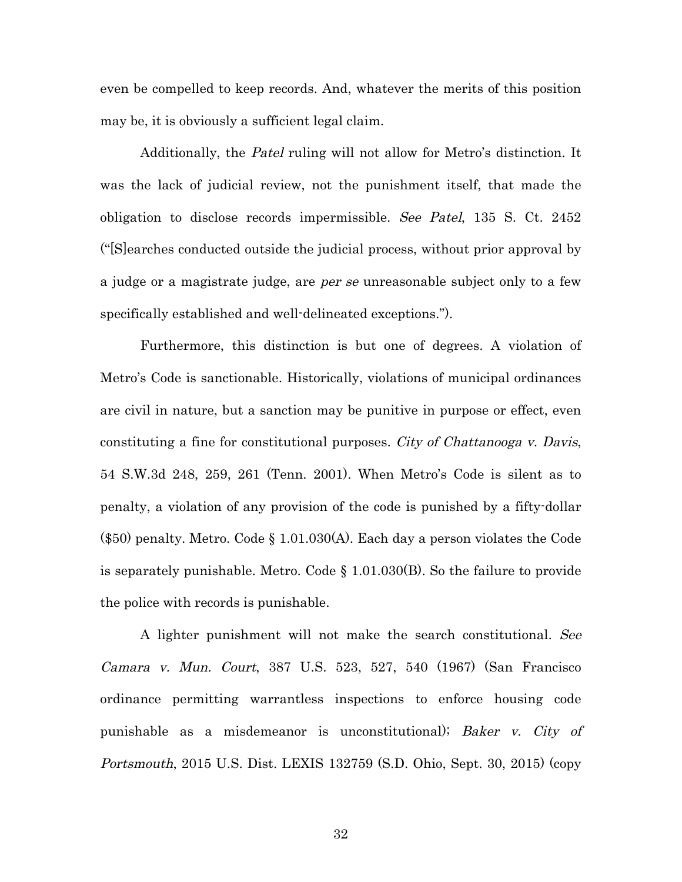even be compelled to keep records. And, whatever the merits of this position may be, it is obviously a sufficient legal claim.

Additionally, the Patel ruling will not allow for Metro's distinction. It was the lack of judicial review, not the punishment itself, that made the obligation to disclose records impermissible. See Patel, 135 S. Ct. 2452 ("[S]earches conducted outside the judicial process, without prior approval by a judge or a magistrate judge, are *per se* unreasonable subject only to a few specifically established and well-delineated exceptions.").

Furthermore, this distinction is but one of degrees. A violation of Metro's Code is sanctionable. Historically, violations of municipal ordinances are civil in nature, but a sanction may be punitive in purpose or effect, even constituting a fine for constitutional purposes. City of Chattanooga v. Davis, 54 S.W.3d 248, 259, 261 (Tenn. 2001). When Metro's Code is silent as to penalty, a violation of any provision of the code is punished by a fifty-dollar (\$50) penalty. Metro. Code § 1.01.030(A). Each day a person violates the Code is separately punishable. Metro. Code § 1.01.030(B). So the failure to provide the police with records is punishable.

A lighter punishment will not make the search constitutional. See Camara v. Mun. Court, 387 U.S. 523, 527, 540 (1967) (San Francisco ordinance permitting warrantless inspections to enforce housing code punishable as a misdemeanor is unconstitutional); Baker v. City of Portsmouth, 2015 U.S. Dist. LEXIS 132759 (S.D. Ohio, Sept. 30, 2015) (copy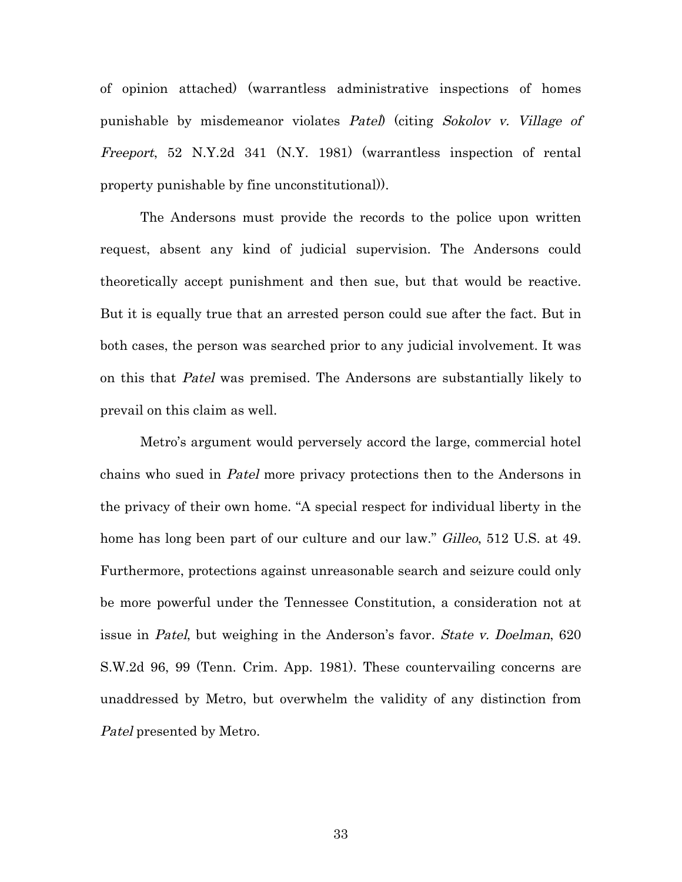of opinion attached) (warrantless administrative inspections of homes punishable by misdemeanor violates Patel) (citing Sokolov v. Village of Freeport, 52 N.Y.2d 341 (N.Y. 1981) (warrantless inspection of rental property punishable by fine unconstitutional)).

The Andersons must provide the records to the police upon written request, absent any kind of judicial supervision. The Andersons could theoretically accept punishment and then sue, but that would be reactive. But it is equally true that an arrested person could sue after the fact. But in both cases, the person was searched prior to any judicial involvement. It was on this that Patel was premised. The Andersons are substantially likely to prevail on this claim as well.

Metro's argument would perversely accord the large, commercial hotel chains who sued in Patel more privacy protections then to the Andersons in the privacy of their own home. "A special respect for individual liberty in the home has long been part of our culture and our law." Gilleo, 512 U.S. at 49. Furthermore, protections against unreasonable search and seizure could only be more powerful under the Tennessee Constitution, a consideration not at issue in Patel, but weighing in the Anderson's favor. State v. Doelman, 620 S.W.2d 96, 99 (Tenn. Crim. App. 1981). These countervailing concerns are unaddressed by Metro, but overwhelm the validity of any distinction from Patel presented by Metro.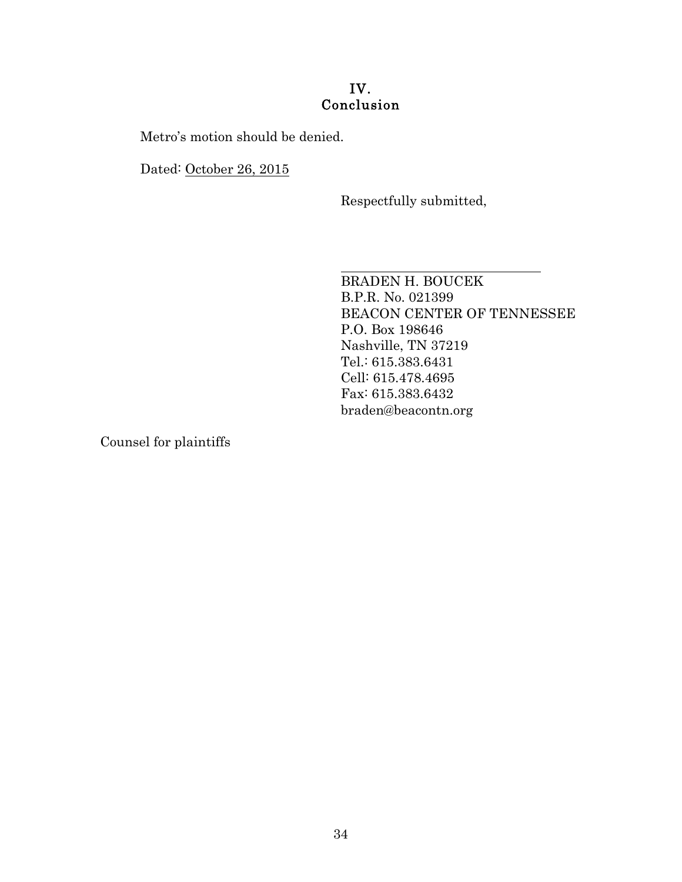# IV. Conclusion

Metro's motion should be denied.

Dated: October 26, 2015

Respectfully submitted,

 BRADEN H. BOUCEK B.P.R. No. 021399 BEACON CENTER OF TENNESSEE P.O. Box 198646 Nashville, TN 37219 Tel.: 615.383.6431 Cell: 615.478.4695 Fax: 615.383.6432 braden@beacontn.org

Counsel for plaintiffs